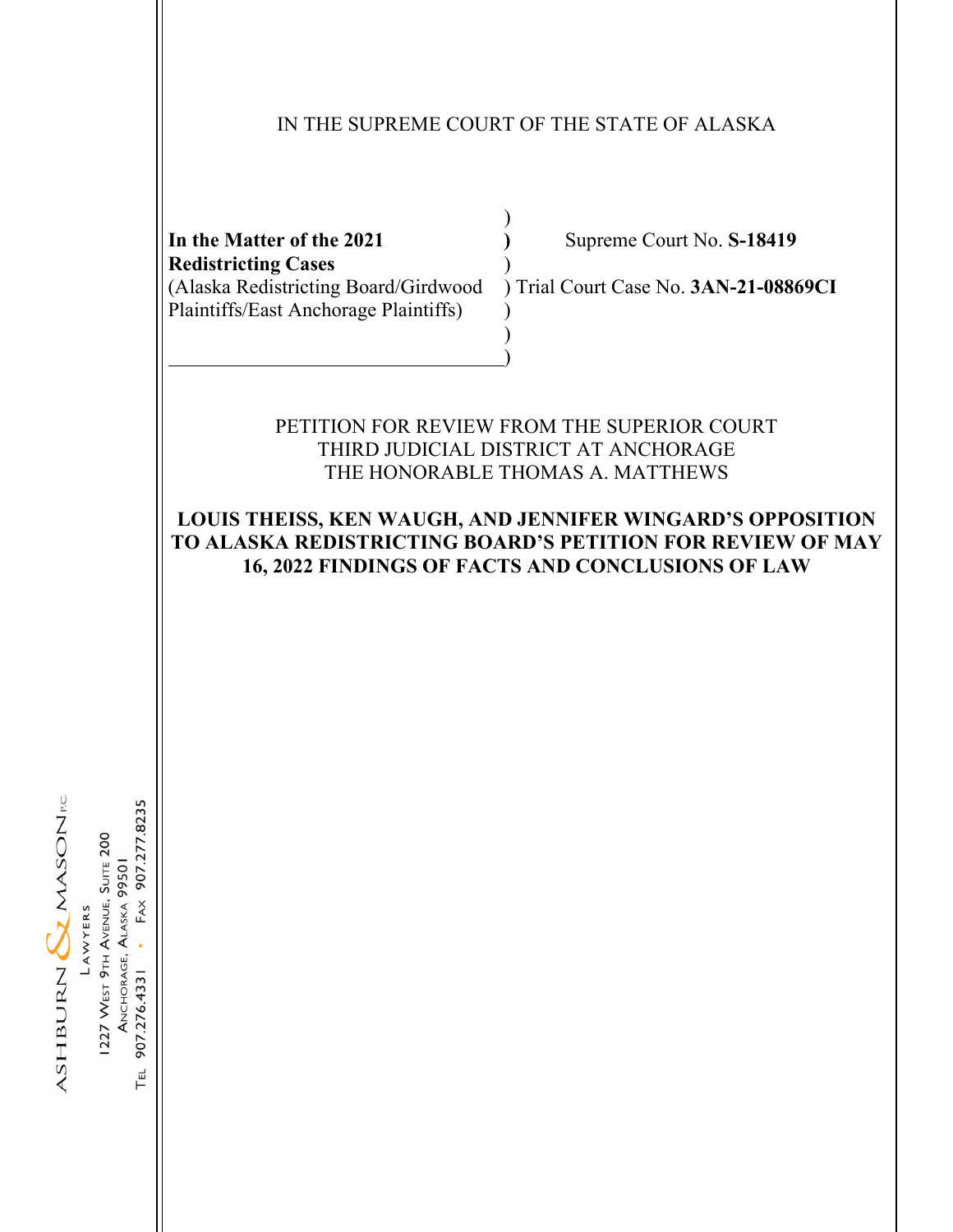## IN THE SUPREME COURT OF THE STATE OF ALASKA

**Redistricting Cases** ) (Alaska Redistricting Board/Girdwood ) Trial Court Case No. **3AN-21-08869CI** Plaintiffs/East Anchorage Plaintiffs) )

 $\overline{\phantom{a}}$ 

 $)$ ) and the contract of  $\mathcal{L}$  (  $\mathcal{L}$  ) and  $\mathcal{L}$ 

In the Matter of the 2021 (a) Supreme Court No. S-18419

#### PETITION FOR REVIEW FROM THE SUPERIOR COURT THIRD JUDICIAL DISTRICT AT ANCHORAGE THE HONORABLE THOMAS A. MATTHEWS

# **LOUIS THEISS, KEN WAUGH, AND JENNIFER WINGARD'S OPPOSITION TO ALASKA REDISTRICTING BOARD'S PETITION FOR REVIEW OF MAY 16, 2022 FINDINGS OF FACTS AND CONCLUSIONS OF LAW**



FAX 907.277.8235

907.276.4331

TEL

ANCHORAGE, ALASKA 99501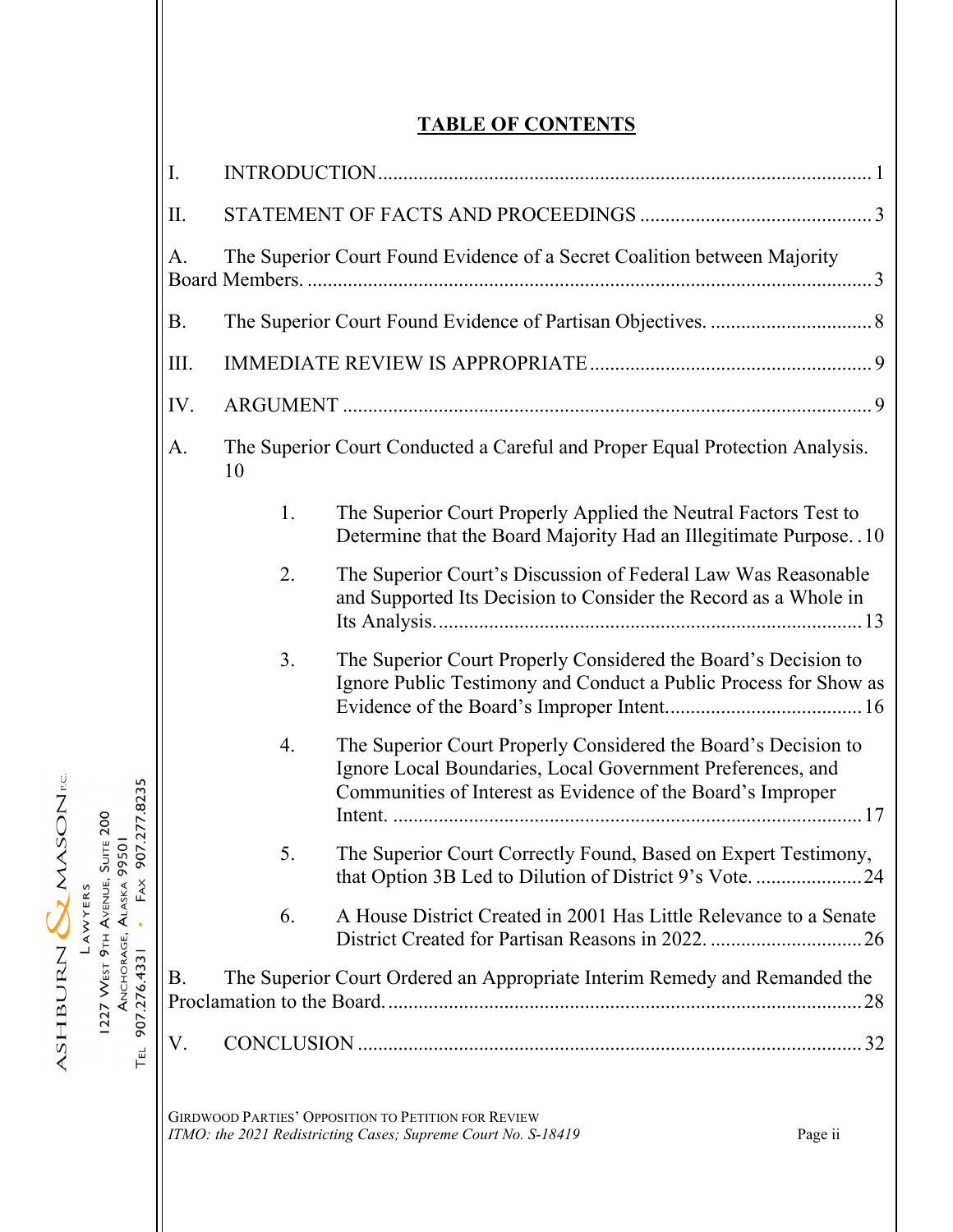# **TABLE OF CONTENTS**

| I.                                                                              |                                                                                    |                                                                                                                                                                                             |  |  |  |
|---------------------------------------------------------------------------------|------------------------------------------------------------------------------------|---------------------------------------------------------------------------------------------------------------------------------------------------------------------------------------------|--|--|--|
| II.                                                                             |                                                                                    |                                                                                                                                                                                             |  |  |  |
| A.                                                                              | The Superior Court Found Evidence of a Secret Coalition between Majority           |                                                                                                                                                                                             |  |  |  |
| <b>B.</b>                                                                       |                                                                                    |                                                                                                                                                                                             |  |  |  |
| III.                                                                            |                                                                                    |                                                                                                                                                                                             |  |  |  |
| IV.                                                                             |                                                                                    |                                                                                                                                                                                             |  |  |  |
| A.                                                                              | The Superior Court Conducted a Careful and Proper Equal Protection Analysis.<br>10 |                                                                                                                                                                                             |  |  |  |
|                                                                                 | 1.                                                                                 | The Superior Court Properly Applied the Neutral Factors Test to<br>Determine that the Board Majority Had an Illegitimate Purpose. . 10                                                      |  |  |  |
|                                                                                 | 2.                                                                                 | The Superior Court's Discussion of Federal Law Was Reasonable<br>and Supported Its Decision to Consider the Record as a Whole in                                                            |  |  |  |
|                                                                                 | 3.                                                                                 | The Superior Court Properly Considered the Board's Decision to<br>Ignore Public Testimony and Conduct a Public Process for Show as                                                          |  |  |  |
|                                                                                 | 4.                                                                                 | The Superior Court Properly Considered the Board's Decision to<br>Ignore Local Boundaries, Local Government Preferences, and<br>Communities of Interest as Evidence of the Board's Improper |  |  |  |
|                                                                                 | 5.                                                                                 | The Superior Court Correctly Found, Based on Expert Testimony,<br>that Option 3B Led to Dilution of District 9's Vote. 24                                                                   |  |  |  |
|                                                                                 | 6.                                                                                 | A House District Created in 2001 Has Little Relevance to a Senate                                                                                                                           |  |  |  |
| The Superior Court Ordered an Appropriate Interim Remedy and Remanded the<br>B. |                                                                                    |                                                                                                                                                                                             |  |  |  |
| V.                                                                              |                                                                                    |                                                                                                                                                                                             |  |  |  |

GIRDWOOD PARTIES' OPPOSITION TO PETITION FOR REVIEW *ITMO: the 2021 Redistricting Cases; Supreme Court No. S-18419* Page ii

ASHBURN & MASON

FAX 907.277.8235

 $\ddot{\phantom{0}}$ 

TEL 907.276.4331

1227 West 9th Avenue, Suite 200<br>Anchorage, Alaska 99501 LAWYERS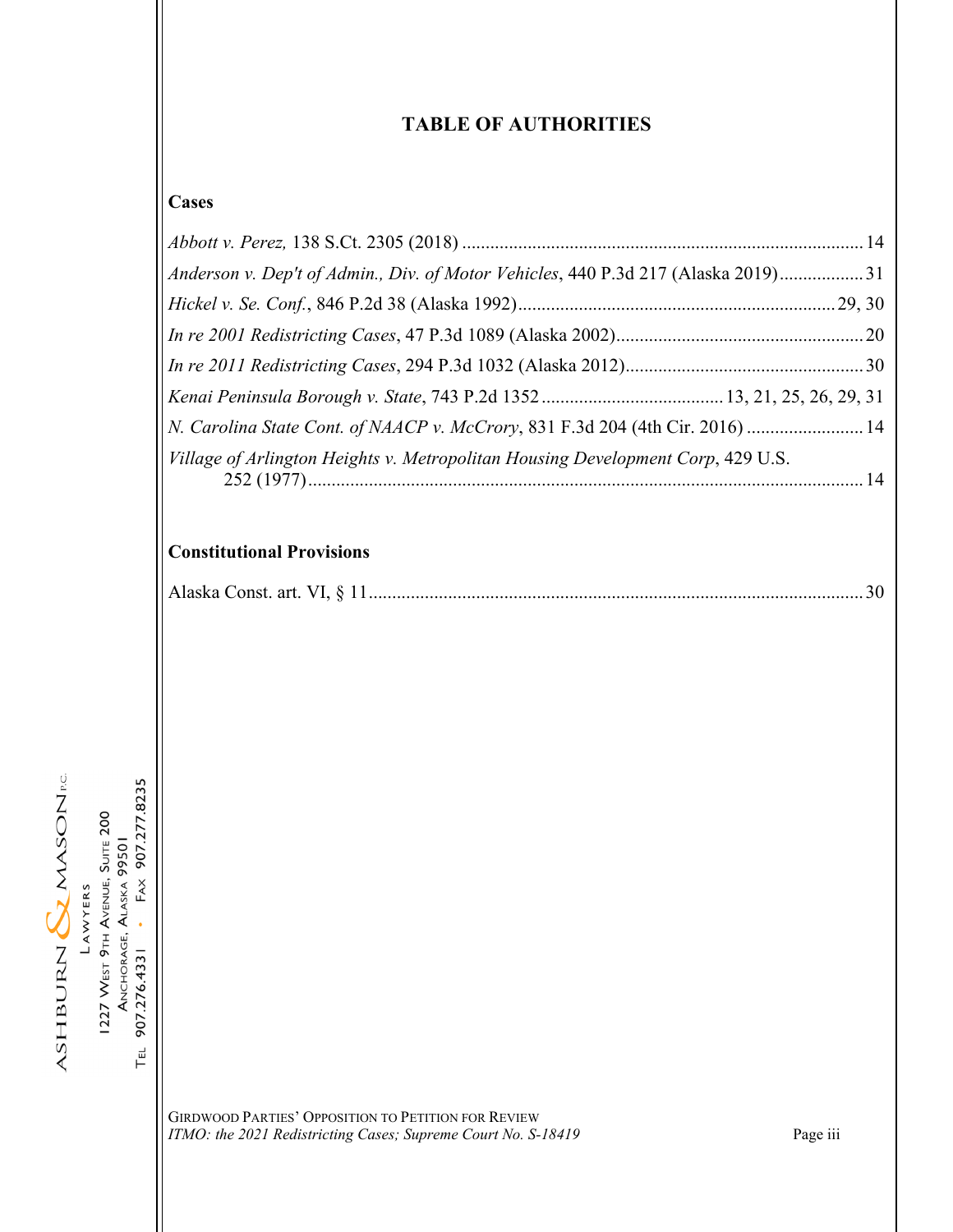# **TABLE OF AUTHORITIES**

#### **Cases**

| Anderson v. Dep't of Admin., Div. of Motor Vehicles, 440 P.3d 217 (Alaska 2019)31 |  |
|-----------------------------------------------------------------------------------|--|
|                                                                                   |  |
|                                                                                   |  |
|                                                                                   |  |
|                                                                                   |  |
| N. Carolina State Cont. of NAACP v. McCrory, 831 F.3d 204 (4th Cir. 2016)  14     |  |
| Village of Arlington Heights v. Metropolitan Housing Development Corp, 429 U.S.   |  |

# **Constitutional Provisions**

|--|--|--|--|



FAX 907.277.8235

 $\ddot{\phantom{0}}$ 

TEL 907.276.4331

GIRDWOOD PARTIES' OPPOSITION TO PETITION FOR REVIEW *ITMO: the 2021 Redistricting Cases; Supreme Court No. S-18419* Page iii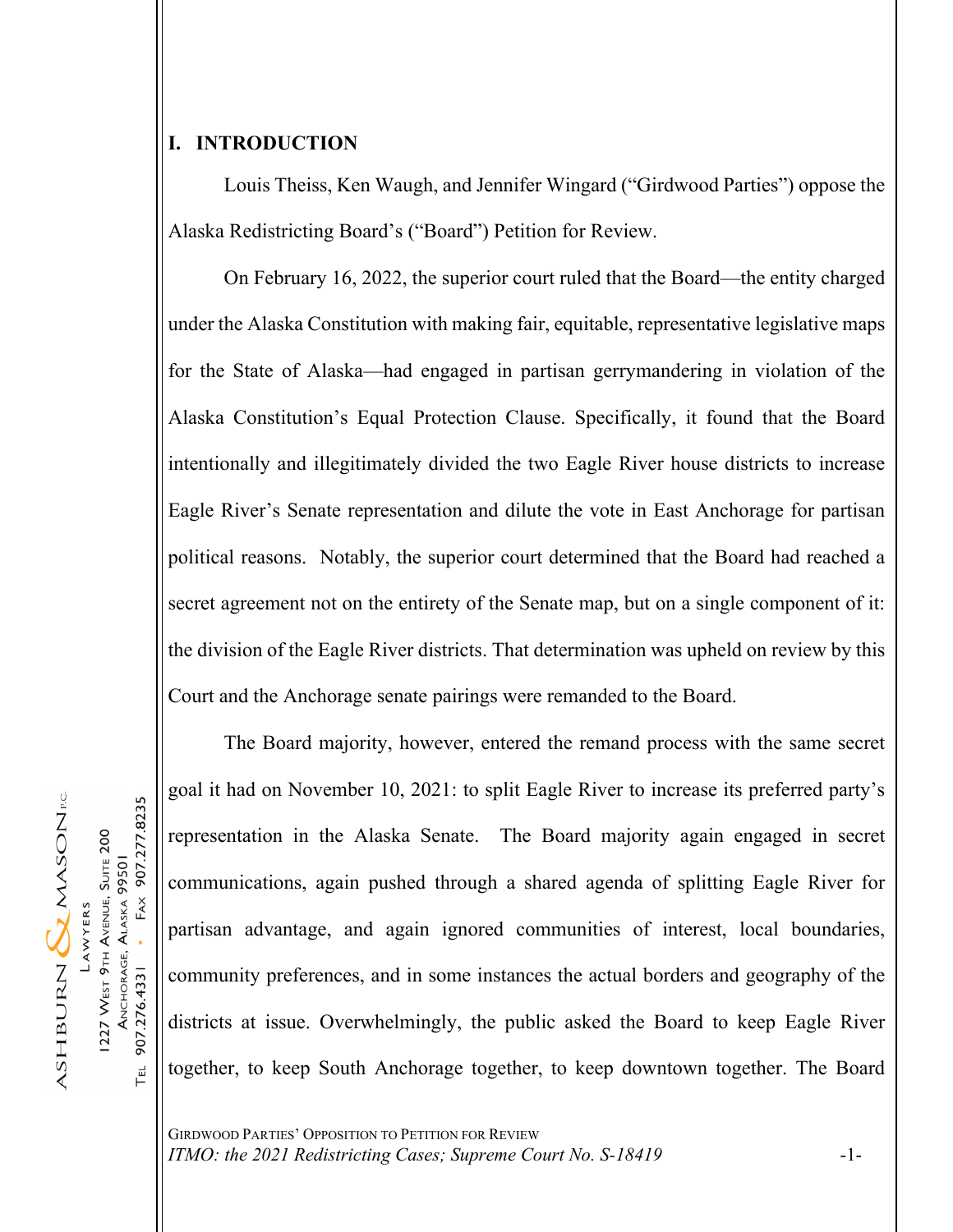#### **I. INTRODUCTION**

Louis Theiss, Ken Waugh, and Jennifer Wingard ("Girdwood Parties") oppose the Alaska Redistricting Board's ("Board") Petition for Review.

On February 16, 2022, the superior court ruled that the Board—the entity charged under the Alaska Constitution with making fair, equitable, representative legislative maps for the State of Alaska—had engaged in partisan gerrymandering in violation of the Alaska Constitution's Equal Protection Clause. Specifically, it found that the Board intentionally and illegitimately divided the two Eagle River house districts to increase Eagle River's Senate representation and dilute the vote in East Anchorage for partisan political reasons. Notably, the superior court determined that the Board had reached a secret agreement not on the entirety of the Senate map, but on a single component of it: the division of the Eagle River districts. That determination was upheld on review by this Court and the Anchorage senate pairings were remanded to the Board.

The Board majority, however, entered the remand process with the same secret goal it had on November 10, 2021: to split Eagle River to increase its preferred party's representation in the Alaska Senate. The Board majority again engaged in secret communications, again pushed through a shared agenda of splitting Eagle River for partisan advantage, and again ignored communities of interest, local boundaries, community preferences, and in some instances the actual borders and geography of the districts at issue. Overwhelmingly, the public asked the Board to keep Eagle River together, to keep South Anchorage together, to keep downtown together. The Board

GIRDWOOD PARTIES' OPPOSITION TO PETITION FOR REVIEW *ITMO: the 2021 Redistricting Cases; Supreme Court No. S-18419* -1-

ASHBURN & MASON 1227 WEST 9TH AVENUE, SUITE 200 ANCHORAGE, ALASKA 99501 LAWYERS

907.277.8235

 $FAX$ 

 $\ddot{\phantom{a}}$ 

907.276.4331

Ĕ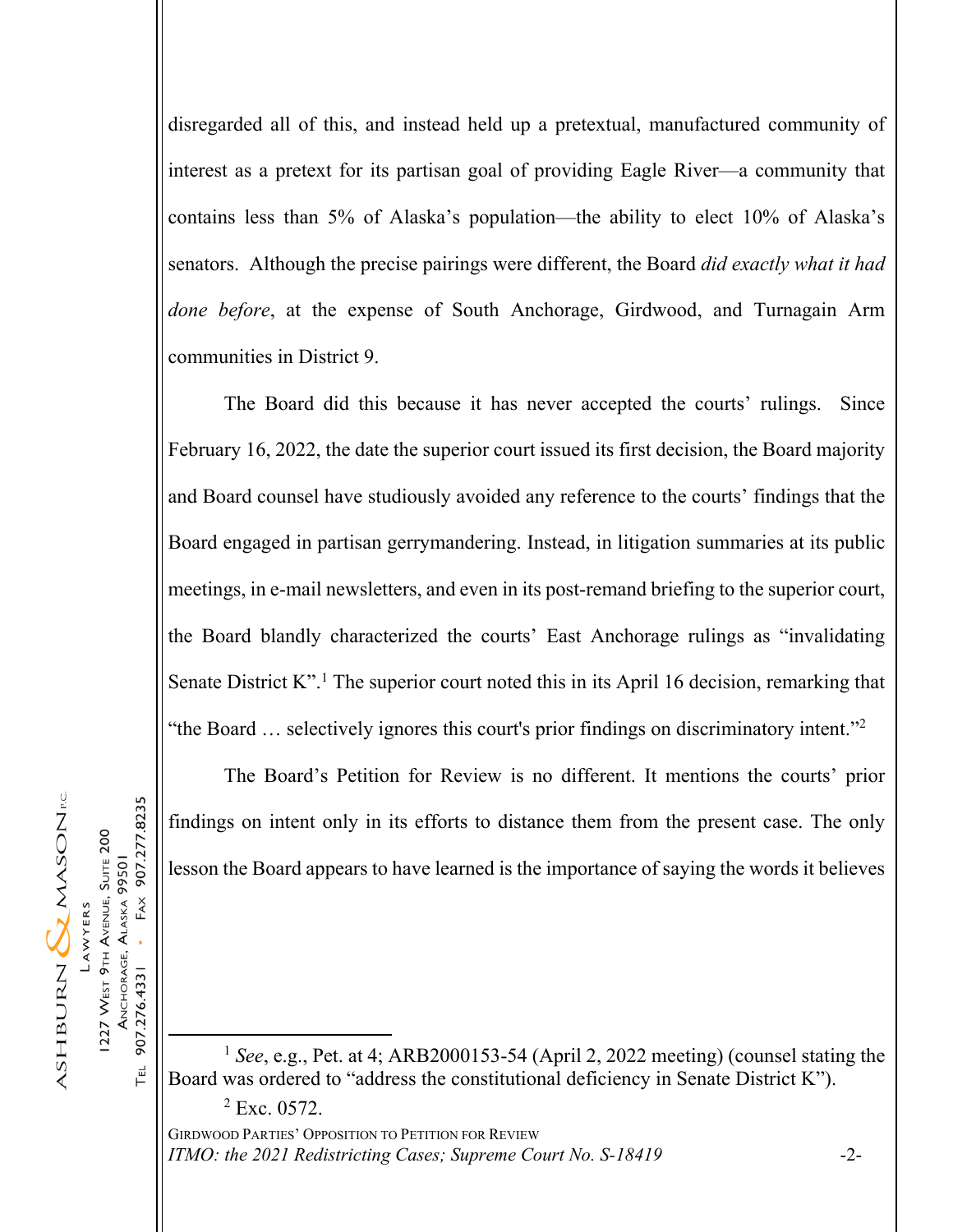disregarded all of this, and instead held up a pretextual, manufactured community of interest as a pretext for its partisan goal of providing Eagle River—a community that contains less than 5% of Alaska's population—the ability to elect 10% of Alaska's senators. Although the precise pairings were different, the Board *did exactly what it had done before*, at the expense of South Anchorage, Girdwood, and Turnagain Arm communities in District 9.

The Board did this because it has never accepted the courts' rulings. Since February 16, 2022, the date the superior court issued its first decision, the Board majority and Board counsel have studiously avoided any reference to the courts' findings that the Board engaged in partisan gerrymandering. Instead, in litigation summaries at its public meetings, in e-mail newsletters, and even in its post-remand briefing to the superior court, the Board blandly characterized the courts' East Anchorage rulings as "invalidating Senate District K".<sup>1</sup> The superior court noted this in its April 16 decision, remarking that "the Board ... selectively ignores this court's prior findings on discriminatory intent."<sup>2</sup>

The Board's Petition for Review is no different. It mentions the courts' prior findings on intent only in its efforts to distance them from the present case. The only lesson the Board appears to have learned is the importance of saying the words it believes

<sup>1</sup> *See*, e.g., Pet. at 4; ARB2000153-54 (April 2, 2022 meeting) (counsel stating the Board was ordered to "address the constitutional deficiency in Senate District K").

GIRDWOOD PARTIES' OPPOSITION TO PETITION FOR REVIEW *ITMO: the 2021 Redistricting Cases; Supreme Court No. S-18419* -2- $2$  Exc. 0572.

ASHBURN & MASON 907.277.8235 1227 WEST 9TH AVENUE, SUITE 200 ANCHORAGE, ALASKA 99501  $FAX$ LAWYERS 907.276.4331

 $\ddot{\phantom{a}}$ 

ГEL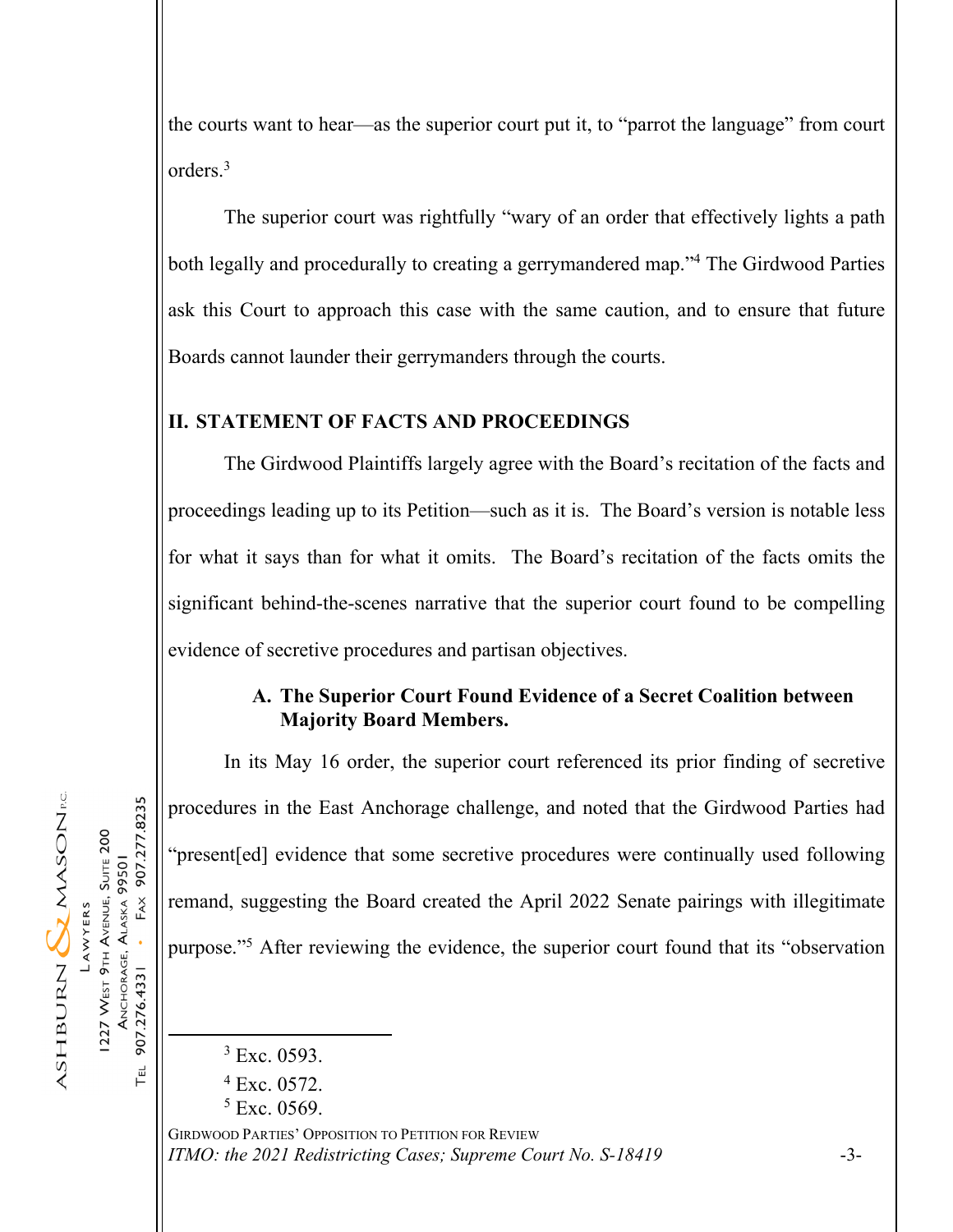the courts want to hear—as the superior court put it, to "parrot the language" from court orders.3

The superior court was rightfully "wary of an order that effectively lights a path both legally and procedurally to creating a gerrymandered map."<sup>4</sup> The Girdwood Parties ask this Court to approach this case with the same caution, and to ensure that future Boards cannot launder their gerrymanders through the courts.

# **II. STATEMENT OF FACTS AND PROCEEDINGS**

The Girdwood Plaintiffs largely agree with the Board's recitation of the facts and proceedings leading up to its Petition—such as it is. The Board's version is notable less for what it says than for what it omits. The Board's recitation of the facts omits the significant behind-the-scenes narrative that the superior court found to be compelling evidence of secretive procedures and partisan objectives.

# **A. The Superior Court Found Evidence of a Secret Coalition between Majority Board Members.**

In its May 16 order, the superior court referenced its prior finding of secretive procedures in the East Anchorage challenge, and noted that the Girdwood Parties had "present[ed] evidence that some secretive procedures were continually used following remand, suggesting the Board created the April 2022 Senate pairings with illegitimate purpose."5 After reviewing the evidence, the superior court found that its "observation

 $3$  Exc. 0593.

4 Exc. 0572.

5 Exc. 0569.

GIRDWOOD PARTIES' OPPOSITION TO PETITION FOR REVIEW *ITMO: the 2021 Redistricting Cases; Supreme Court No. S-18419* -3-

907.277.8235 1227 WEST 9TH AVENUE, SUITE 200 ANCHORAGE, ALASKA 99501  $FAX$  $\ddot{\phantom{a}}$ 907.276.4331  $\Gamma$ EL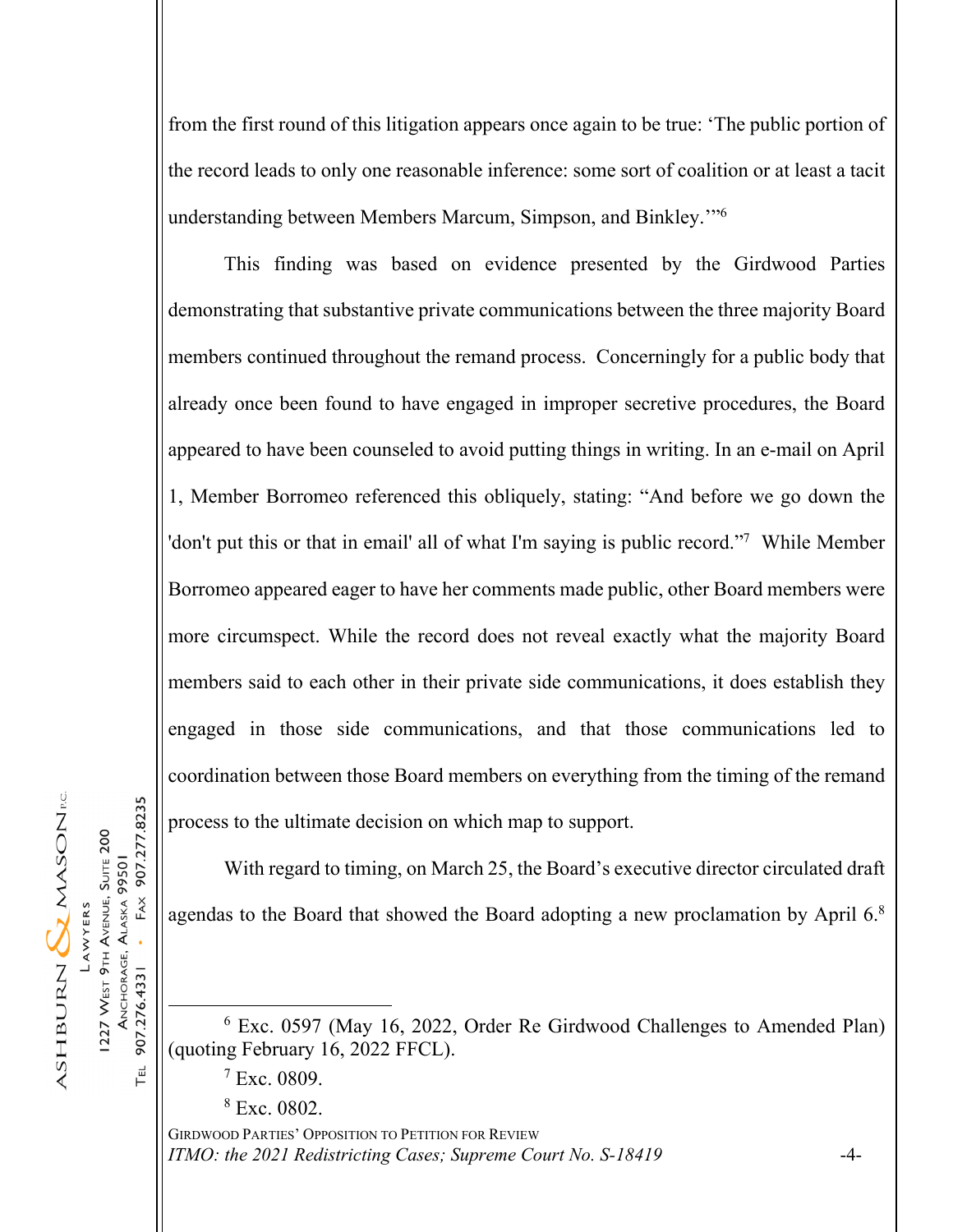from the first round of this litigation appears once again to be true: 'The public portion of the record leads to only one reasonable inference: some sort of coalition or at least a tacit understanding between Members Marcum, Simpson, and Binkley.'"6

This finding was based on evidence presented by the Girdwood Parties demonstrating that substantive private communications between the three majority Board members continued throughout the remand process. Concerningly for a public body that already once been found to have engaged in improper secretive procedures, the Board appeared to have been counseled to avoid putting things in writing. In an e-mail on April 1, Member Borromeo referenced this obliquely, stating: "And before we go down the 'don't put this or that in email' all of what I'm saying is public record."<sup>7</sup> While Member Borromeo appeared eager to have her comments made public, other Board members were more circumspect. While the record does not reveal exactly what the majority Board members said to each other in their private side communications, it does establish they engaged in those side communications, and that those communications led to coordination between those Board members on everything from the timing of the remand process to the ultimate decision on which map to support.

ASHBURN $\bigotimes_{MASON}$ re 1227 WEST 9TH AVENUE, SUITE 200 ANCHORAGE, ALASKA 99501 LAWYERS

907.277.8235

 $FAX$ 

 $\ddot{\phantom{a}}$ 

907.276.4331

ГEL

With regard to timing, on March 25, the Board's executive director circulated draft agendas to the Board that showed the Board adopting a new proclamation by April  $6.8$ 

7 Exc. 0809.

8 Exc. 0802.

GIRDWOOD PARTIES' OPPOSITION TO PETITION FOR REVIEW *ITMO: the 2021 Redistricting Cases; Supreme Court No. S-18419* -4-

<sup>6</sup> Exc. 0597 (May 16, 2022, Order Re Girdwood Challenges to Amended Plan) (quoting February 16, 2022 FFCL).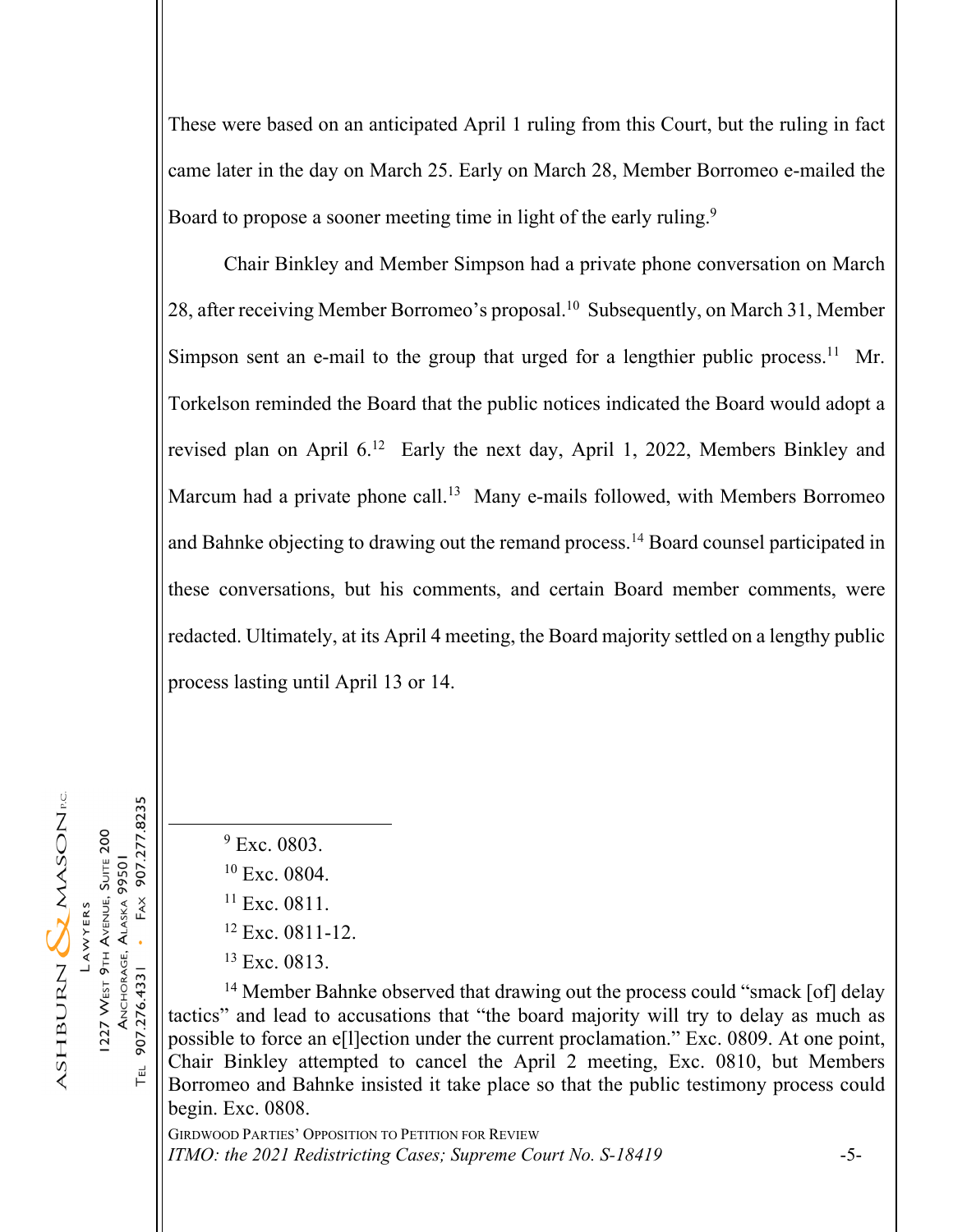These were based on an anticipated April 1 ruling from this Court, but the ruling in fact came later in the day on March 25. Early on March 28, Member Borromeo e-mailed the Board to propose a sooner meeting time in light of the early ruling.<sup>9</sup>

Chair Binkley and Member Simpson had a private phone conversation on March 28, after receiving Member Borromeo's proposal.<sup>10</sup> Subsequently, on March 31, Member Simpson sent an e-mail to the group that urged for a lengthier public process.<sup>11</sup> Mr. Torkelson reminded the Board that the public notices indicated the Board would adopt a revised plan on April 6.12 Early the next day, April 1, 2022, Members Binkley and Marcum had a private phone call.<sup>13</sup> Many e-mails followed, with Members Borromeo and Bahnke objecting to drawing out the remand process.<sup>14</sup> Board counsel participated in these conversations, but his comments, and certain Board member comments, were redacted. Ultimately, at its April 4 meeting, the Board majority settled on a lengthy public process lasting until April 13 or 14.

<sup>9</sup> Exc. 0803.

- <sup>10</sup> Exc. 0804.
- $11$  Exc. 0811.
- 12 Exc. 0811-12.
- <sup>13</sup> Exc. 0813.

<sup>14</sup> Member Bahnke observed that drawing out the process could "smack [of] delay tactics" and lead to accusations that "the board majority will try to delay as much as possible to force an e[l]ection under the current proclamation." Exc. 0809. At one point, Chair Binkley attempted to cancel the April 2 meeting, Exc. 0810, but Members Borromeo and Bahnke insisted it take place so that the public testimony process could begin. Exc. 0808.

GIRDWOOD PARTIES' OPPOSITION TO PETITION FOR REVIEW *ITMO: the 2021 Redistricting Cases; Supreme Court No. S-18419* -5-

ASHBURN & MASON 227 WEST 9TH AVENUE, SUITE 200 ANCHORAGE, ALASKA 99501 LAWYERS

907.277.8235

 $FAX$ 

 $\ddot{\phantom{0}}$ 

907.276.4331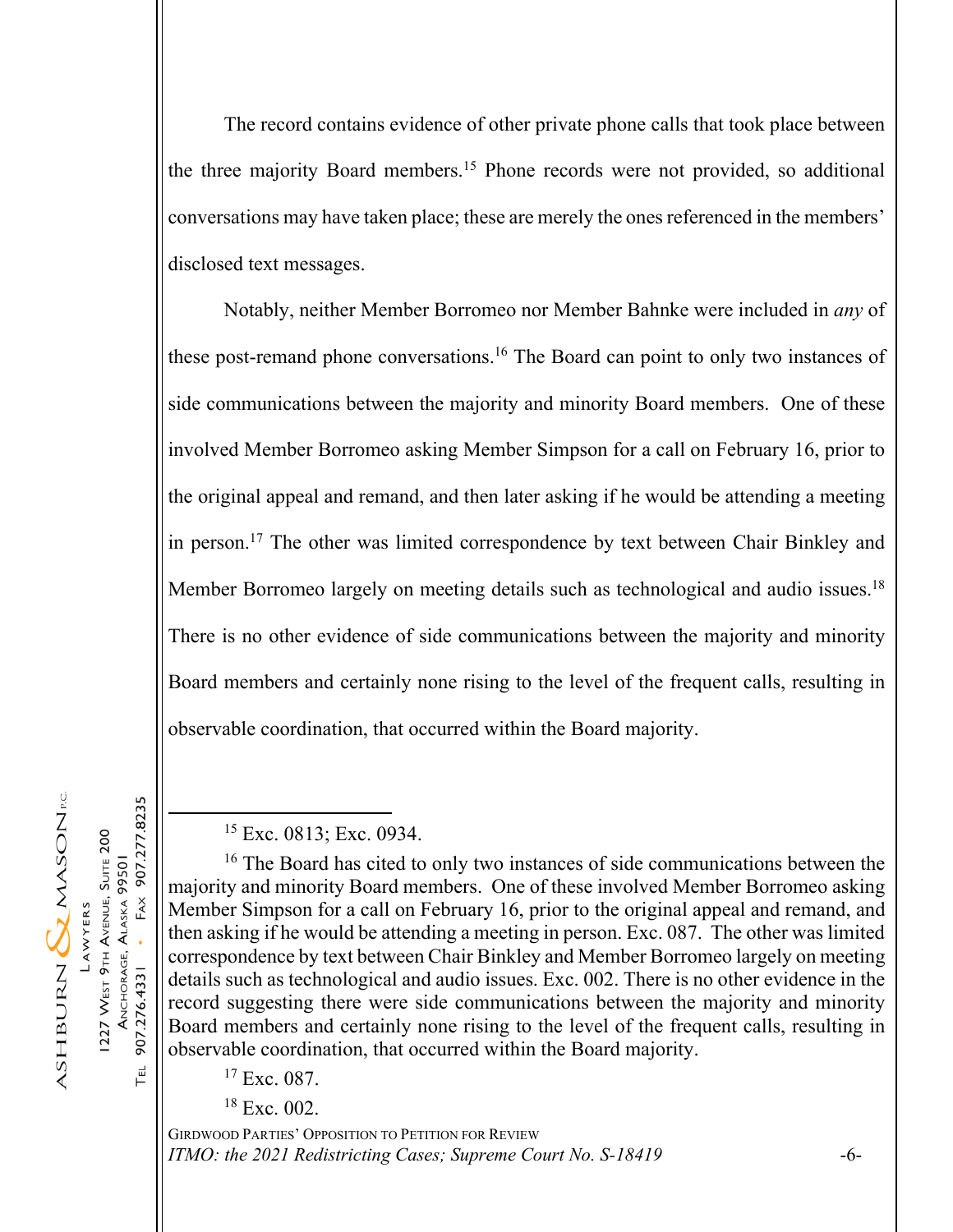The record contains evidence of other private phone calls that took place between the three majority Board members.<sup>15</sup> Phone records were not provided, so additional conversations may have taken place; these are merely the ones referenced in the members' disclosed text messages.

Notably, neither Member Borromeo nor Member Bahnke were included in *any* of these post-remand phone conversations.<sup>16</sup> The Board can point to only two instances of side communications between the majority and minority Board members. One of these involved Member Borromeo asking Member Simpson for a call on February 16, prior to the original appeal and remand, and then later asking if he would be attending a meeting in person.17 The other was limited correspondence by text between Chair Binkley and Member Borromeo largely on meeting details such as technological and audio issues.<sup>18</sup> There is no other evidence of side communications between the majority and minority Board members and certainly none rising to the level of the frequent calls, resulting in observable coordination, that occurred within the Board majority.

<sup>15</sup> Exc. 0813; Exc. 0934.

<sup>16</sup> The Board has cited to only two instances of side communications between the majority and minority Board members. One of these involved Member Borromeo asking Member Simpson for a call on February 16, prior to the original appeal and remand, and then asking if he would be attending a meeting in person. Exc. 087. The other was limited correspondence by text between Chair Binkley and Member Borromeo largely on meeting details such as technological and audio issues. Exc. 002. There is no other evidence in the record suggesting there were side communications between the majority and minority Board members and certainly none rising to the level of the frequent calls, resulting in observable coordination, that occurred within the Board majority.

 $17$  Exc. 087.

<sup>18</sup> Exc. 002.

GIRDWOOD PARTIES' OPPOSITION TO PETITION FOR REVIEW *ITMO: the 2021 Redistricting Cases; Supreme Court No. S-18419* -6-

ASHBURN & MASON 1227 WEST 9TH AVENUE, SUITE 200 ANCHORAGE, ALASKA 99501 LAWYERS

907.277.8235

 $FAX$ 

907.276.4331

ГEL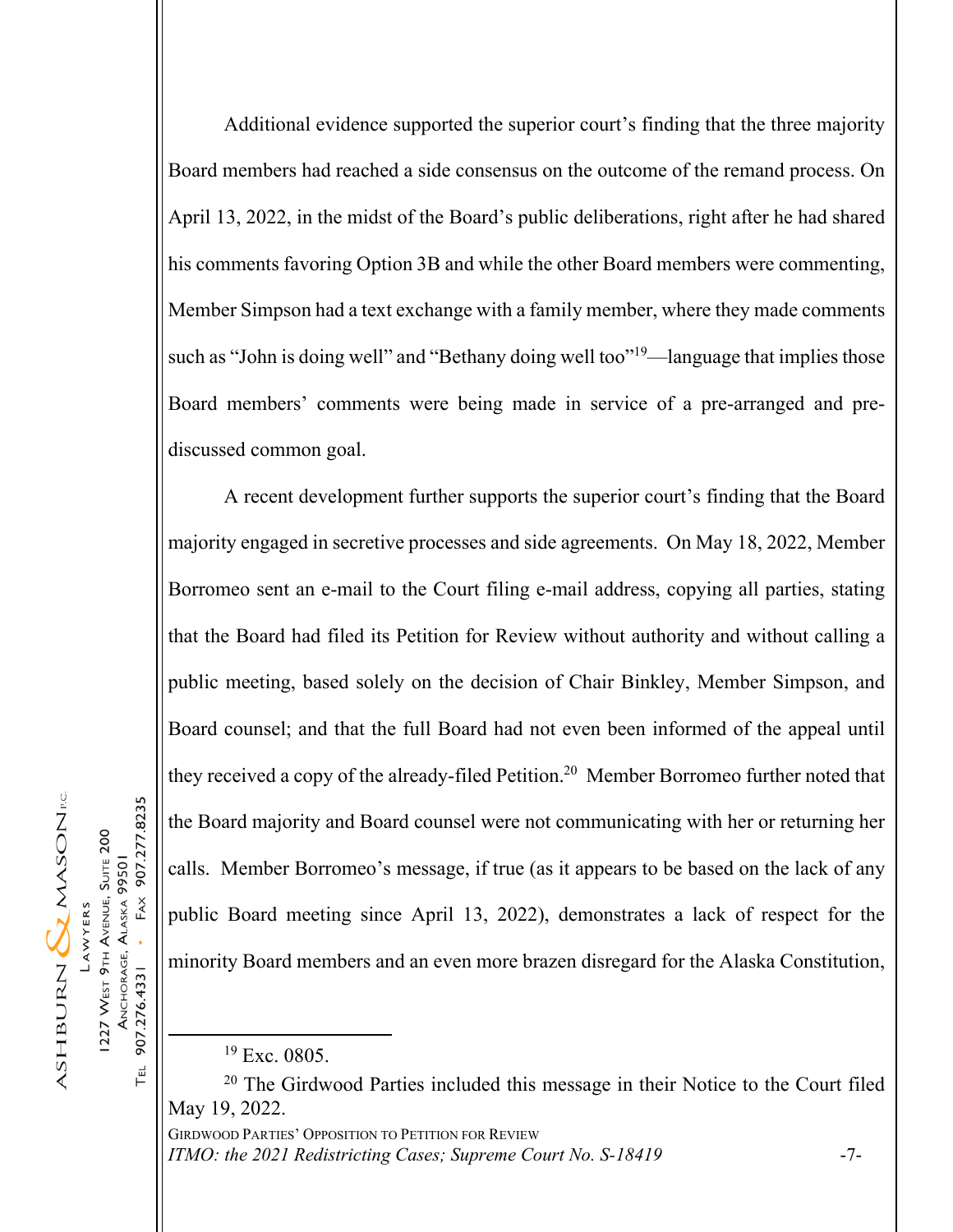Additional evidence supported the superior court's finding that the three majority Board members had reached a side consensus on the outcome of the remand process. On April 13, 2022, in the midst of the Board's public deliberations, right after he had shared his comments favoring Option 3B and while the other Board members were commenting, Member Simpson had a text exchange with a family member, where they made comments such as "John is doing well" and "Bethany doing well too"<sup>19</sup>—language that implies those Board members' comments were being made in service of a pre-arranged and prediscussed common goal.

A recent development further supports the superior court's finding that the Board majority engaged in secretive processes and side agreements. On May 18, 2022, Member Borromeo sent an e-mail to the Court filing e-mail address, copying all parties, stating that the Board had filed its Petition for Review without authority and without calling a public meeting, based solely on the decision of Chair Binkley, Member Simpson, and Board counsel; and that the full Board had not even been informed of the appeal until they received a copy of the already-filed Petition.<sup>20</sup> Member Borromeo further noted that the Board majority and Board counsel were not communicating with her or returning her calls. Member Borromeo's message, if true (as it appears to be based on the lack of any public Board meeting since April 13, 2022), demonstrates a lack of respect for the minority Board members and an even more brazen disregard for the Alaska Constitution,

<sup>19</sup> Exc. 0805.

GIRDWOOD PARTIES' OPPOSITION TO PETITION FOR REVIEW *ITMO: the 2021 Redistricting Cases; Supreme Court No. S-18419* -7-

907.277.8235

 $FAX$ 

 $\ddot{\phantom{0}}$ 

907.276.4331

 $\Gamma$ EL

ANCHORAGE, ALASKA 99501

<sup>&</sup>lt;sup>20</sup> The Girdwood Parties included this message in their Notice to the Court filed May 19, 2022.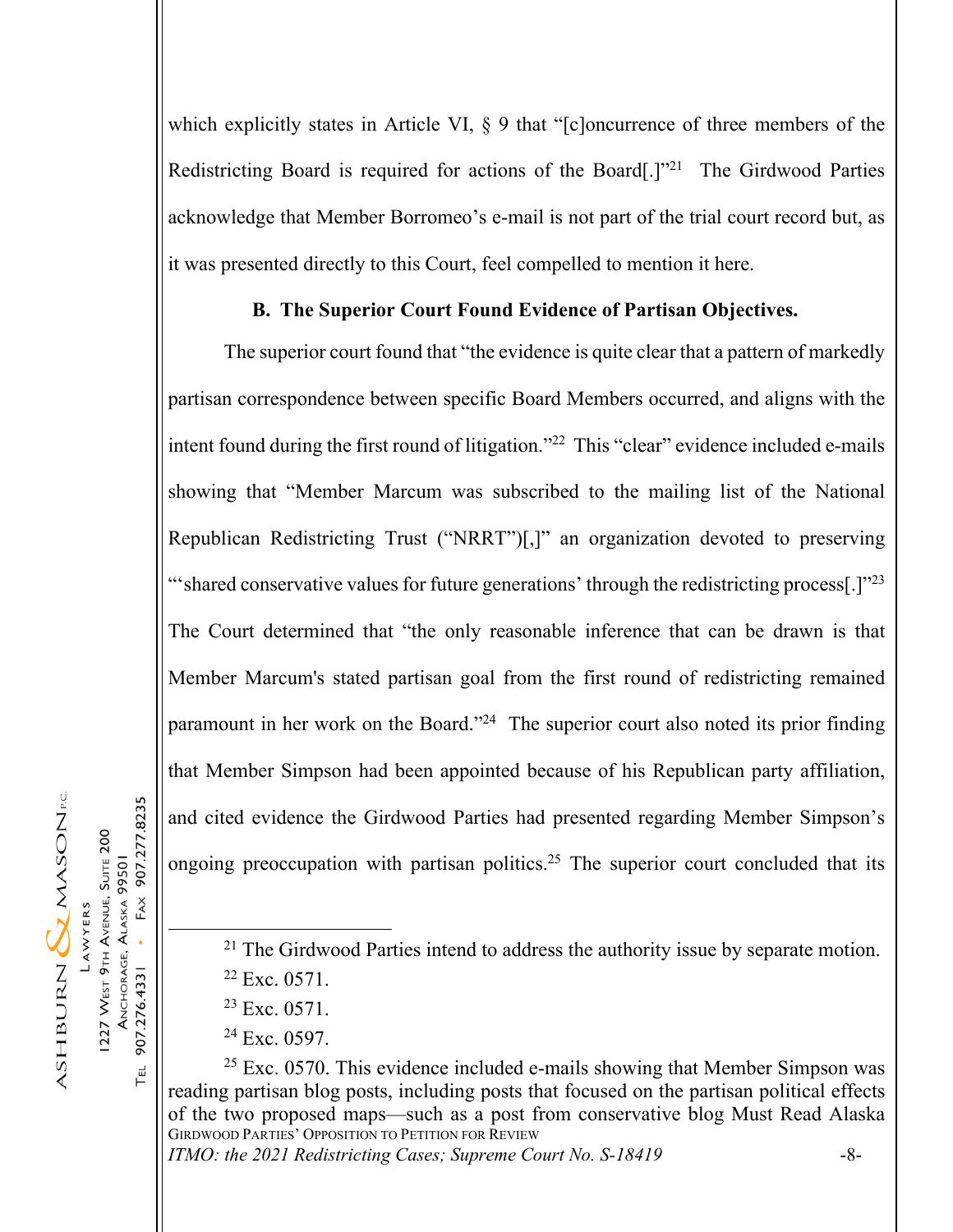which explicitly states in Article VI, § 9 that "[c]oncurrence of three members of the Redistricting Board is required for actions of the Board[.]"21 The Girdwood Parties acknowledge that Member Borromeo's e-mail is not part of the trial court record but, as it was presented directly to this Court, feel compelled to mention it here.

#### **B. The Superior Court Found Evidence of Partisan Objectives.**

The superior court found that "the evidence is quite clear that a pattern of markedly partisan correspondence between specific Board Members occurred, and aligns with the intent found during the first round of litigation."<sup>22</sup> This "clear" evidence included e-mails showing that "Member Marcum was subscribed to the mailing list of the National Republican Redistricting Trust ("NRRT")[,]" an organization devoted to preserving "'shared conservative values for future generations' through the redistricting process. The Court determined that "the only reasonable inference that can be drawn is that Member Marcum's stated partisan goal from the first round of redistricting remained paramount in her work on the Board."24 The superior court also noted its prior finding that Member Simpson had been appointed because of his Republican party affiliation, and cited evidence the Girdwood Parties had presented regarding Member Simpson's ongoing preoccupation with partisan politics.<sup>25</sup> The superior court concluded that its

ASHBURN & MASON

*ITMO: the 2021 Redistricting Cases; Supreme Court No. S-18419* -8-

<sup>907.277.8235</sup> 1227 WEST 9TH AVENUE, SUITE 200 ANCHORAGE, ALASKA 99501  $FAX$ LAWYERS  $\ddot{\phantom{0}}$ 907.276.4331  $\mathsf{T}^{\underline{\mathsf{H}}}$ 

 $21$  The Girdwood Parties intend to address the authority issue by separate motion.  $22$  Exc. 0571.

<sup>&</sup>lt;sup>23</sup> Exc. 0571.

<sup>&</sup>lt;sup>24</sup> Exc. 0597.

GIRDWOOD PARTIES' OPPOSITION TO PETITION FOR REVIEW  $25$  Exc. 0570. This evidence included e-mails showing that Member Simpson was reading partisan blog posts, including posts that focused on the partisan political effects of the two proposed maps—such as a post from conservative blog Must Read Alaska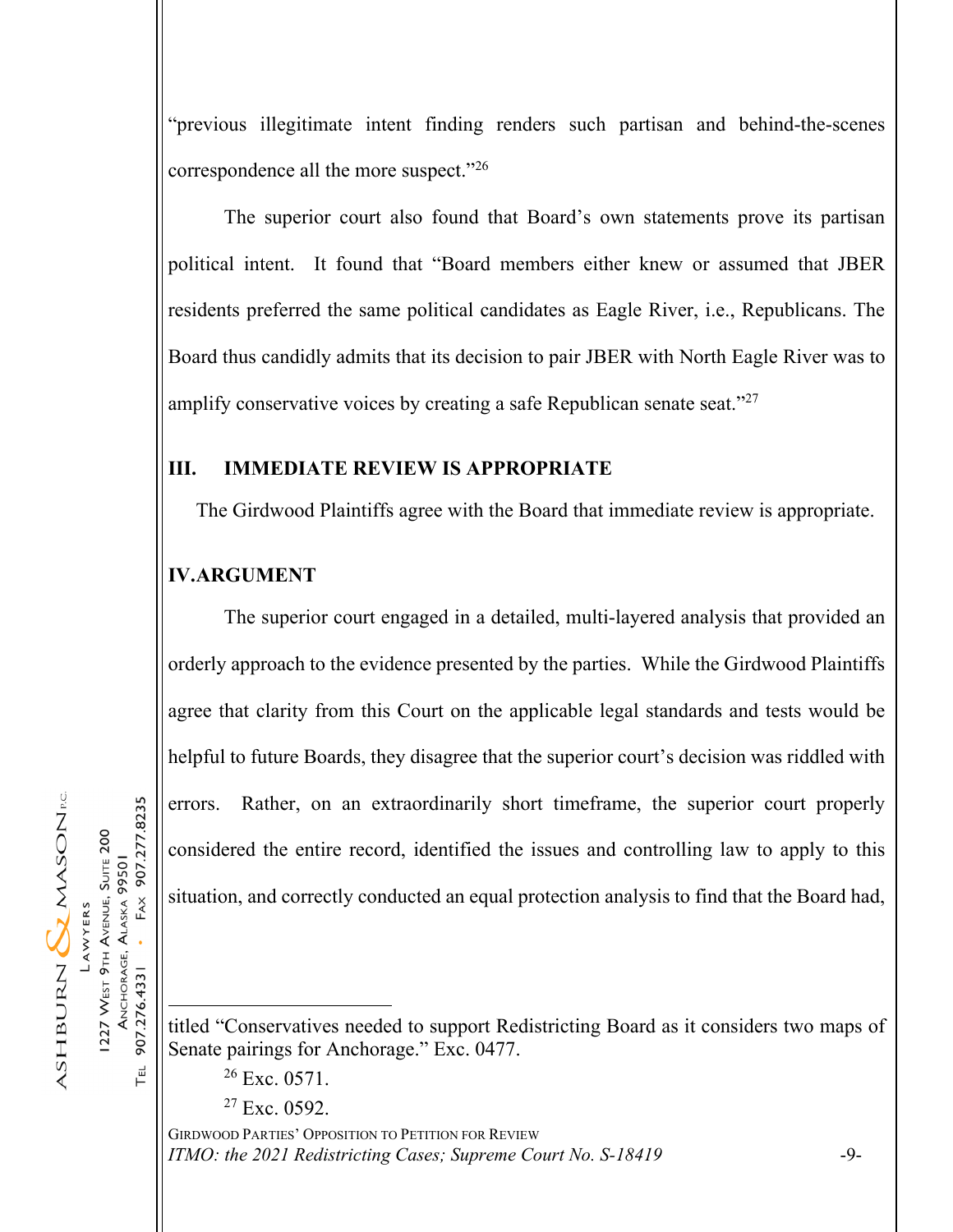"previous illegitimate intent finding renders such partisan and behind-the-scenes correspondence all the more suspect."<sup>26</sup>

The superior court also found that Board's own statements prove its partisan political intent. It found that "Board members either knew or assumed that JBER residents preferred the same political candidates as Eagle River, i.e., Republicans. The Board thus candidly admits that its decision to pair JBER with North Eagle River was to amplify conservative voices by creating a safe Republican senate seat."<sup>27</sup>

#### **III. IMMEDIATE REVIEW IS APPROPRIATE**

The Girdwood Plaintiffs agree with the Board that immediate review is appropriate.

# **IV.ARGUMENT**

 The superior court engaged in a detailed, multi-layered analysis that provided an orderly approach to the evidence presented by the parties. While the Girdwood Plaintiffs agree that clarity from this Court on the applicable legal standards and tests would be helpful to future Boards, they disagree that the superior court's decision was riddled with errors. Rather, on an extraordinarily short timeframe, the superior court properly considered the entire record, identified the issues and controlling law to apply to this situation, and correctly conducted an equal protection analysis to find that the Board had,

1227 WEST 9TH AVENUE, SUITE 200 ANCHORAGE, ALASKA 99501 LAWYERS

907.277.8235

 $FAX$ 

 $\ddot{\phantom{0}}$ 

907.276.4331

ГEL

ASHBURN & MASON

 $26$  Exc. 0571.

 $27$  Exc. 0592.

GIRDWOOD PARTIES' OPPOSITION TO PETITION FOR REVIEW *ITMO: the 2021 Redistricting Cases; Supreme Court No. S-18419* -9-

titled "Conservatives needed to support Redistricting Board as it considers two maps of Senate pairings for Anchorage." Exc. 0477.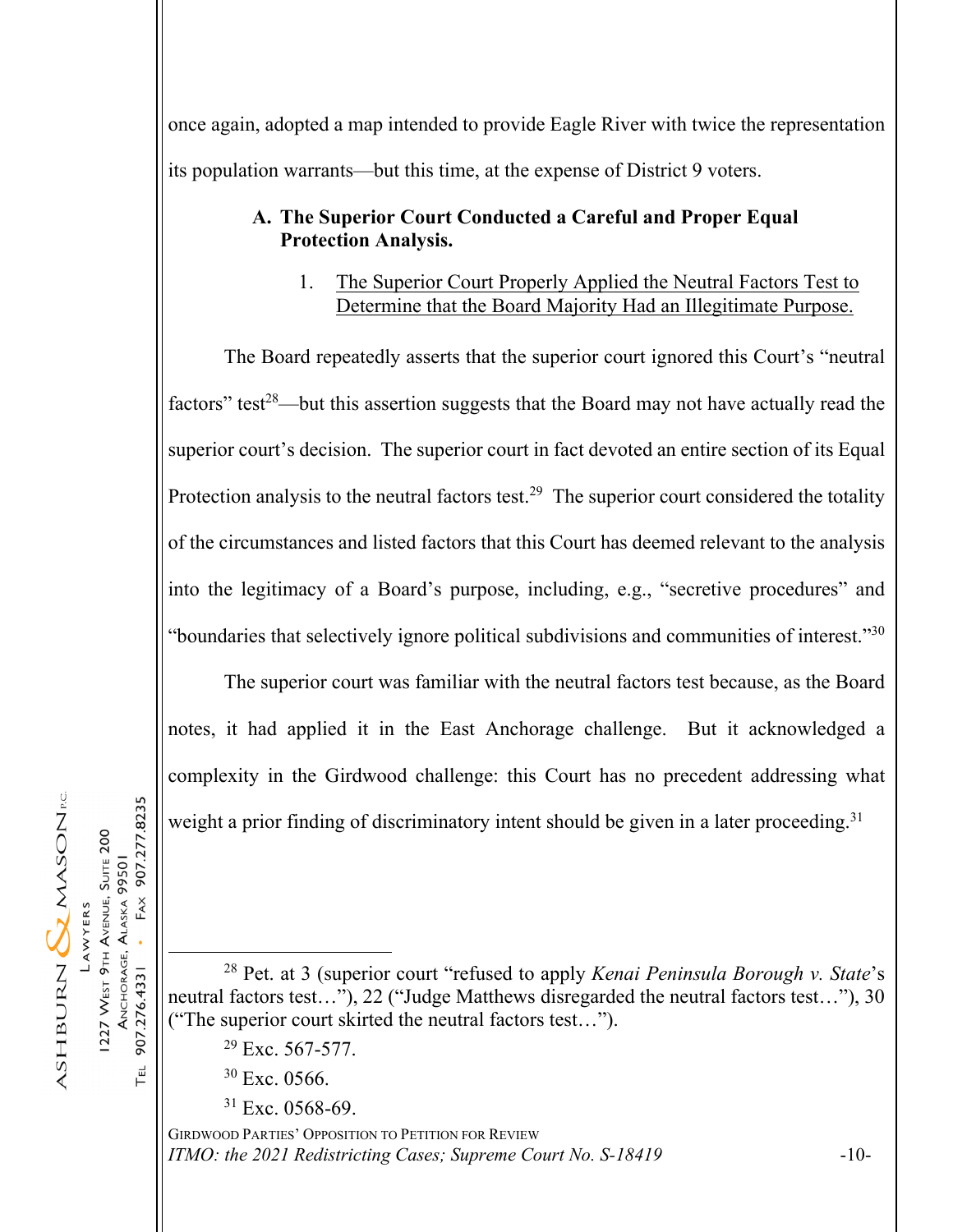once again, adopted a map intended to provide Eagle River with twice the representation its population warrants—but this time, at the expense of District 9 voters.

# **A. The Superior Court Conducted a Careful and Proper Equal Protection Analysis.**

# 1. The Superior Court Properly Applied the Neutral Factors Test to Determine that the Board Majority Had an Illegitimate Purpose.

The Board repeatedly asserts that the superior court ignored this Court's "neutral factors" test<sup>28</sup>—but this assertion suggests that the Board may not have actually read the superior court's decision. The superior court in fact devoted an entire section of its Equal Protection analysis to the neutral factors test.<sup>29</sup> The superior court considered the totality of the circumstances and listed factors that this Court has deemed relevant to the analysis into the legitimacy of a Board's purpose, including, e.g., "secretive procedures" and "boundaries that selectively ignore political subdivisions and communities of interest."30

The superior court was familiar with the neutral factors test because, as the Board notes, it had applied it in the East Anchorage challenge. But it acknowledged a complexity in the Girdwood challenge: this Court has no precedent addressing what weight a prior finding of discriminatory intent should be given in a later proceeding.<sup>31</sup>

FAX 907.277.8235 1227 WEST 9TH AVENUE, SUITE 200 ANCHORAGE, ALASKA 99501 LAWYERS  $\ddot{\phantom{a}}$ 907.276.4331 **T<sub>EL</sub>** 

ASHBURN & MASON

30 Exc. 0566.

 $31$  Exc. 0568-69.

GIRDWOOD PARTIES' OPPOSITION TO PETITION FOR REVIEW *ITMO: the 2021 Redistricting Cases; Supreme Court No. S-18419* -10-

<sup>28</sup> Pet. at 3 (superior court "refused to apply *Kenai Peninsula Borough v. State*'s neutral factors test…"), 22 ("Judge Matthews disregarded the neutral factors test…"), 30 ("The superior court skirted the neutral factors test…").

 $29$  Exc. 567-577.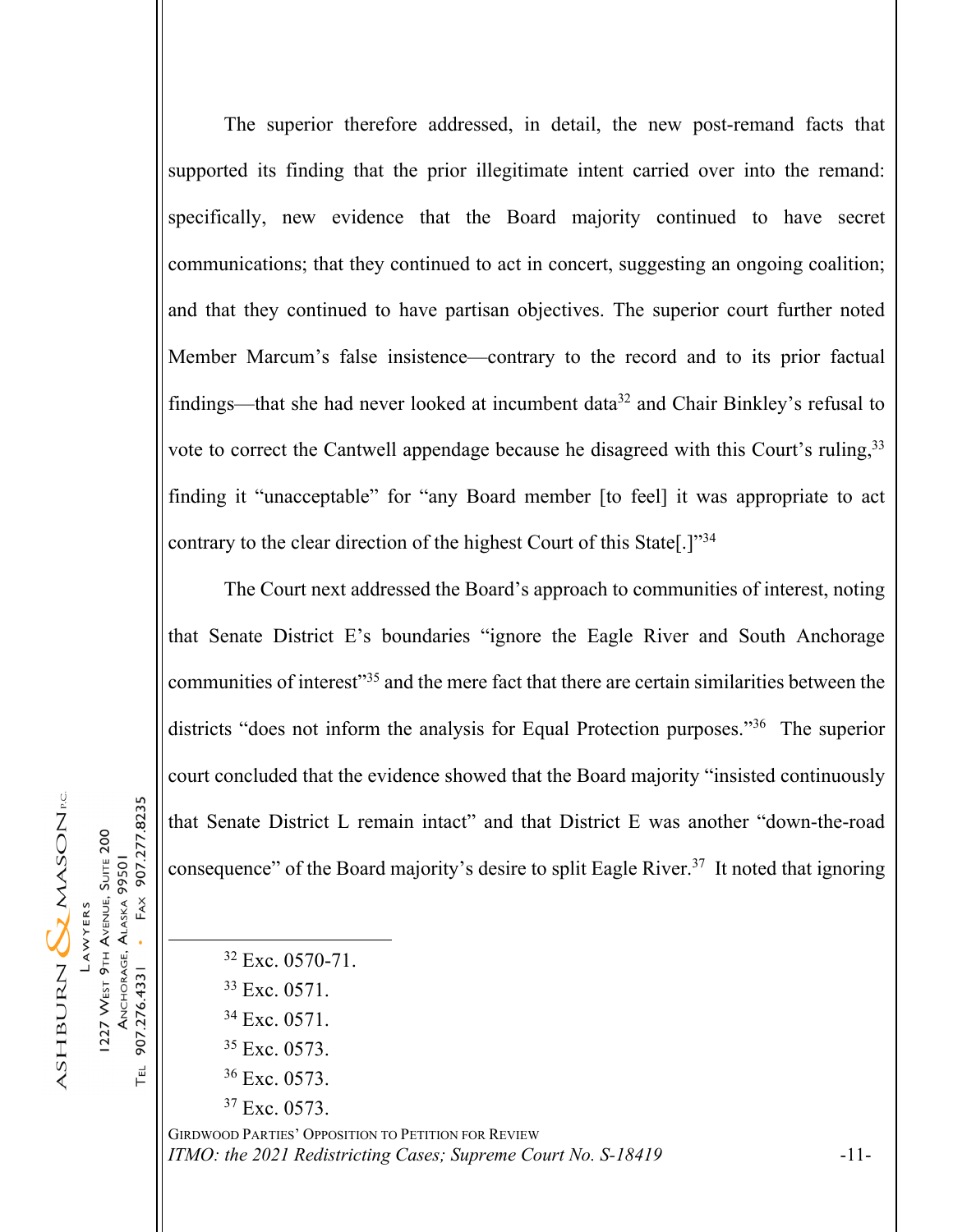The superior therefore addressed, in detail, the new post-remand facts that supported its finding that the prior illegitimate intent carried over into the remand: specifically, new evidence that the Board majority continued to have secret communications; that they continued to act in concert, suggesting an ongoing coalition; and that they continued to have partisan objectives. The superior court further noted Member Marcum's false insistence—contrary to the record and to its prior factual findings—that she had never looked at incumbent data<sup>32</sup> and Chair Binkley's refusal to vote to correct the Cantwell appendage because he disagreed with this Court's ruling,<sup>33</sup> finding it "unacceptable" for "any Board member [to feel] it was appropriate to act contrary to the clear direction of the highest Court of this State[.]"34

The Court next addressed the Board's approach to communities of interest, noting that Senate District E's boundaries "ignore the Eagle River and South Anchorage communities of interest"35 and the mere fact that there are certain similarities between the districts "does not inform the analysis for Equal Protection purposes."<sup>36</sup> The superior court concluded that the evidence showed that the Board majority "insisted continuously that Senate District L remain intact" and that District E was another "down-the-road consequence" of the Board majority's desire to split Eagle River.<sup>37</sup> It noted that ignoring

- $32$  Exc. 0570-71.
- 33 Exc. 0571.
- <sup>34</sup> Exc. 0571.
- <sup>35</sup> Exc. 0573.
- 36 Exc. 0573.
- <sup>37</sup> Exc. 0573.

GIRDWOOD PARTIES' OPPOSITION TO PETITION FOR REVIEW *ITMO: the 2021 Redistricting Cases; Supreme Court No. S-18419* -11-

ASHBURN & MASON 1227 WEST 9TH AVENUE, SUITE 200 LAWYERS

907.277.8235

 $FAX$ 

 $\ddot{\phantom{0}}$ 

907.276.4331

**T<sub>EL</sub>** 

ANCHORAGE, ALASKA 99501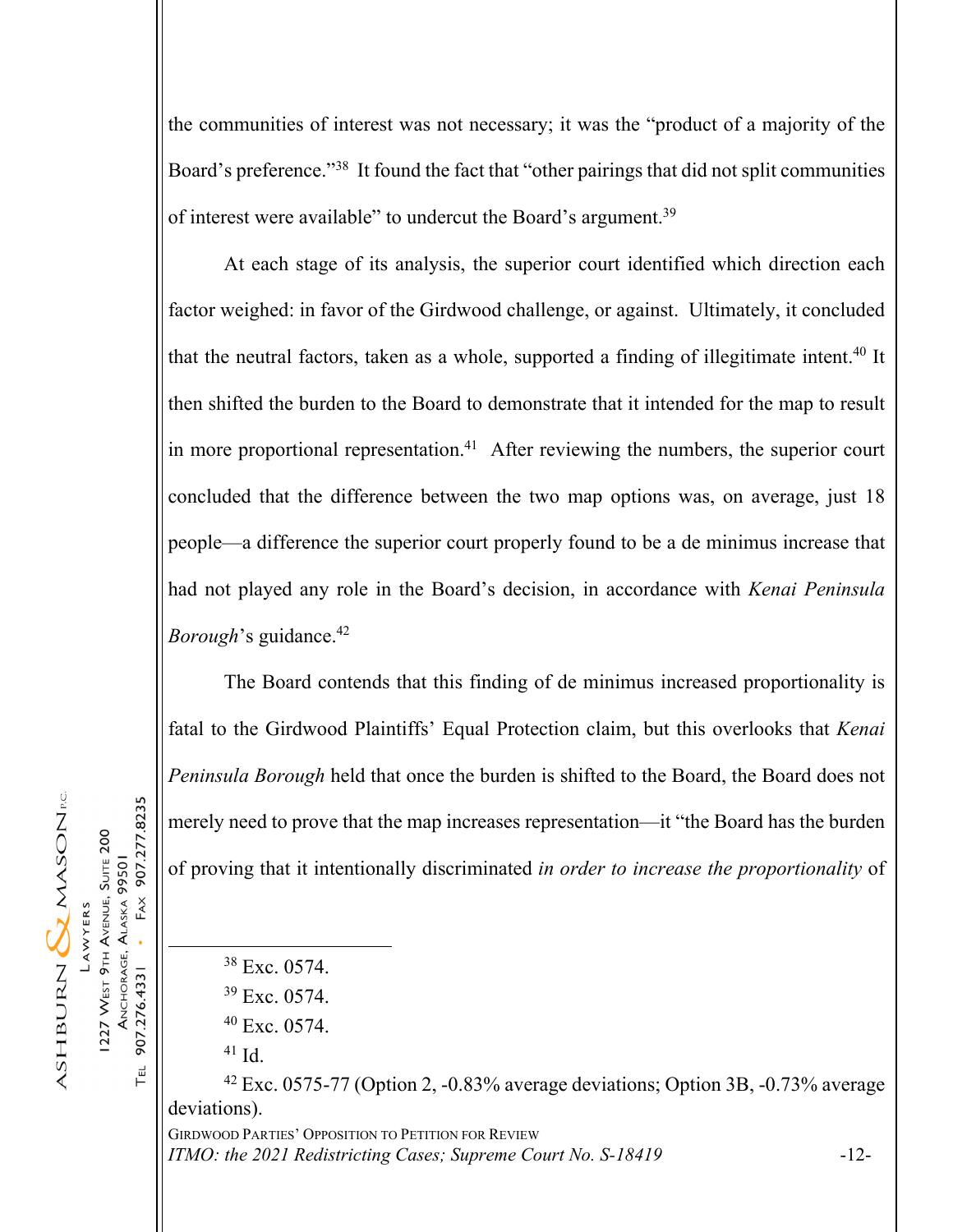the communities of interest was not necessary; it was the "product of a majority of the Board's preference."<sup>38</sup> It found the fact that "other pairings that did not split communities of interest were available" to undercut the Board's argument.<sup>39</sup>

At each stage of its analysis, the superior court identified which direction each factor weighed: in favor of the Girdwood challenge, or against. Ultimately, it concluded that the neutral factors, taken as a whole, supported a finding of illegitimate intent.<sup>40</sup> It then shifted the burden to the Board to demonstrate that it intended for the map to result in more proportional representation.<sup>41</sup> After reviewing the numbers, the superior court concluded that the difference between the two map options was, on average, just 18 people—a difference the superior court properly found to be a de minimus increase that had not played any role in the Board's decision, in accordance with *Kenai Peninsula Borough*'s guidance.<sup>42</sup>

The Board contends that this finding of de minimus increased proportionality is fatal to the Girdwood Plaintiffs' Equal Protection claim, but this overlooks that *Kenai Peninsula Borough* held that once the burden is shifted to the Board, the Board does not merely need to prove that the map increases representation—it "the Board has the burden of proving that it intentionally discriminated *in order to increase the proportionality* of

41 Id.

 $42$  Exc. 0575-77 (Option 2, -0.83% average deviations; Option 3B, -0.73% average deviations).

GIRDWOOD PARTIES' OPPOSITION TO PETITION FOR REVIEW *ITMO: the 2021 Redistricting Cases; Supreme Court No. S-18419* -12-

ASHBURN & MASON 1227 WEST 9TH AVENUE, SUITE 200 LAWYERS

907.277.8235

 $FAX$ 

 $\ddot{\phantom{a}}$ 

907.276.4331

 $\Gamma$ EL

ANCHORAGE, ALASKA 99501

<sup>38</sup> Exc. 0574.

<sup>39</sup> Exc. 0574.

 $40$  Exc. 0574.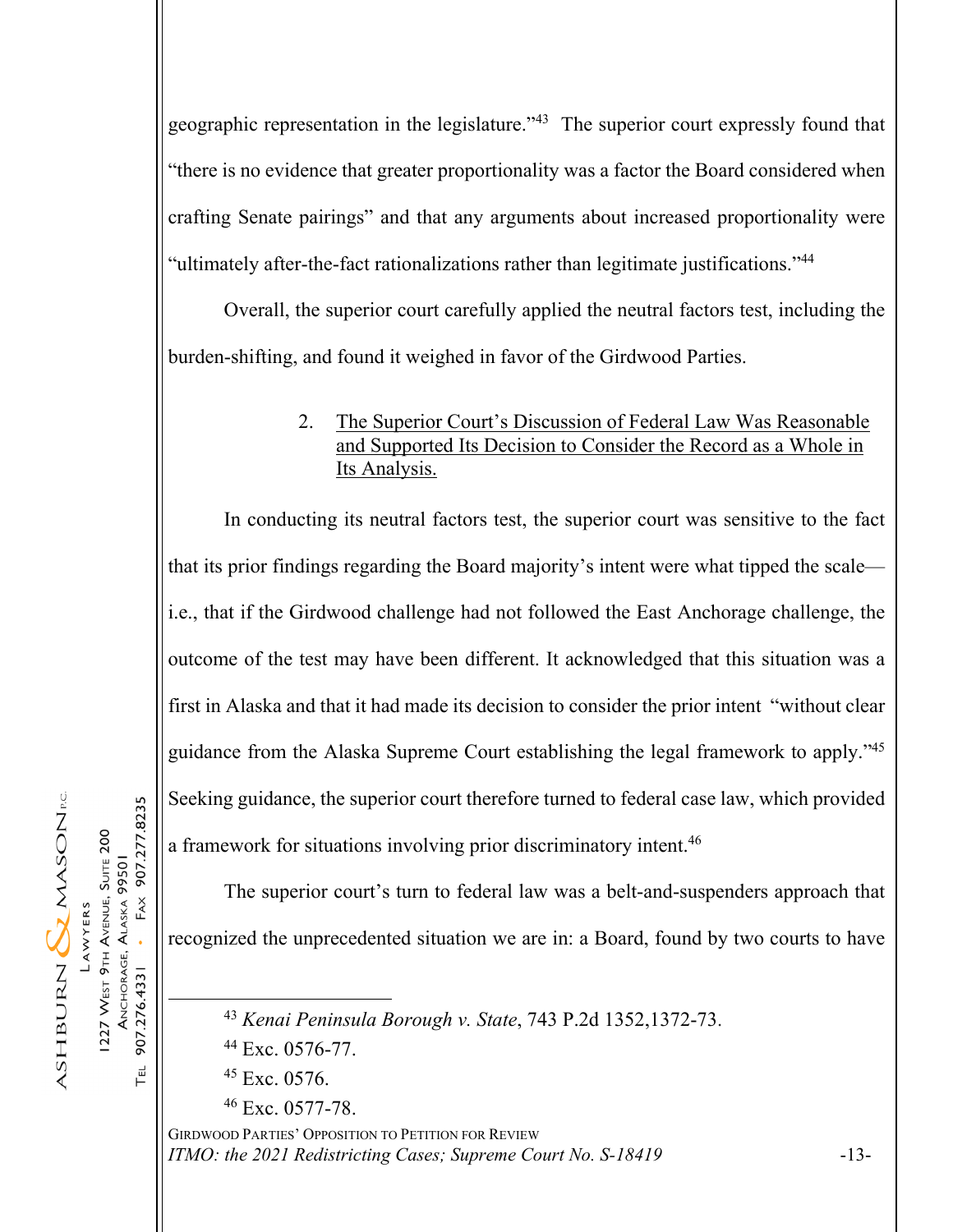geographic representation in the legislature."43 The superior court expressly found that "there is no evidence that greater proportionality was a factor the Board considered when crafting Senate pairings" and that any arguments about increased proportionality were "ultimately after-the-fact rationalizations rather than legitimate justifications."44

Overall, the superior court carefully applied the neutral factors test, including the burden-shifting, and found it weighed in favor of the Girdwood Parties.

# 2. The Superior Court's Discussion of Federal Law Was Reasonable and Supported Its Decision to Consider the Record as a Whole in Its Analysis.

In conducting its neutral factors test, the superior court was sensitive to the fact that its prior findings regarding the Board majority's intent were what tipped the scale i.e., that if the Girdwood challenge had not followed the East Anchorage challenge, the outcome of the test may have been different. It acknowledged that this situation was a first in Alaska and that it had made its decision to consider the prior intent "without clear guidance from the Alaska Supreme Court establishing the legal framework to apply."45 Seeking guidance, the superior court therefore turned to federal case law, which provided a framework for situations involving prior discriminatory intent.46

ASHBURN & MASON 1227 WEST 9TH AVENUE, SUITE 200 ANCHORAGE, ALASKA 99501 LAWYERS

907.277.8235

 $FAX$ 

 $\ddot{\phantom{a}}$ 

907.276.4331

**T<sub>EL</sub>** 

The superior court's turn to federal law was a belt-and-suspenders approach that recognized the unprecedented situation we are in: a Board, found by two courts to have

GIRDWOOD PARTIES' OPPOSITION TO PETITION FOR REVIEW *ITMO: the 2021 Redistricting Cases; Supreme Court No. S-18419* -13-

<sup>43</sup> *Kenai Peninsula Borough v. State*, 743 P.2d 1352,1372-73.

<sup>44</sup> Exc. 0576-77.

<sup>&</sup>lt;sup>45</sup> Exc. 0576.

<sup>46</sup> Exc. 0577-78.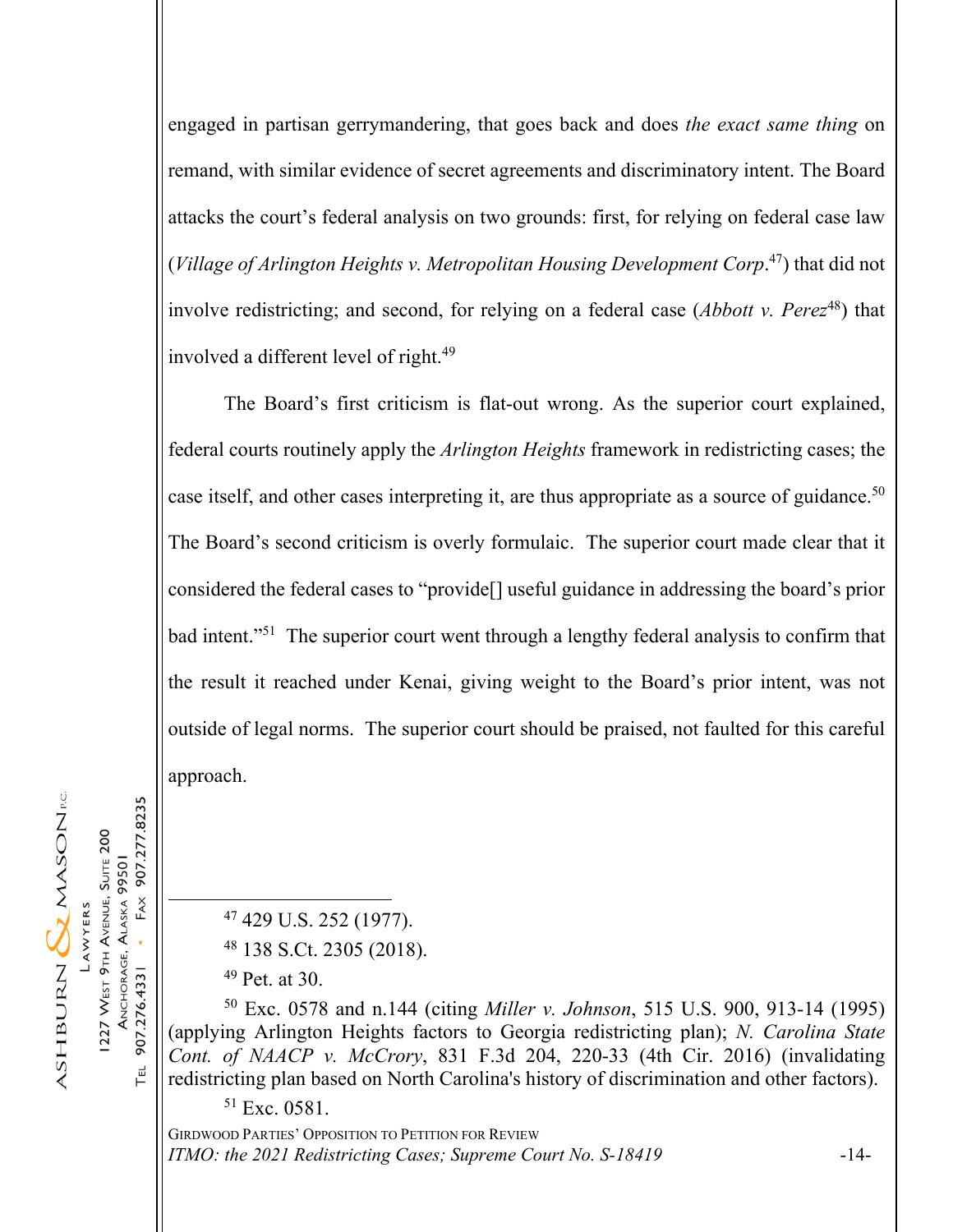engaged in partisan gerrymandering, that goes back and does *the exact same thing* on remand, with similar evidence of secret agreements and discriminatory intent. The Board attacks the court's federal analysis on two grounds: first, for relying on federal case law (*Village of Arlington Heights v. Metropolitan Housing Development Corp*. 47) that did not involve redistricting; and second, for relying on a federal case (*Abbott v. Perez*<sup>48</sup>) that involved a different level of right.49

The Board's first criticism is flat-out wrong. As the superior court explained, federal courts routinely apply the *Arlington Heights* framework in redistricting cases; the case itself, and other cases interpreting it, are thus appropriate as a source of guidance.<sup>50</sup> The Board's second criticism is overly formulaic. The superior court made clear that it considered the federal cases to "provide[] useful guidance in addressing the board's prior bad intent."<sup>51</sup> The superior court went through a lengthy federal analysis to confirm that the result it reached under Kenai, giving weight to the Board's prior intent, was not outside of legal norms. The superior court should be praised, not faulted for this careful approach.

 $47$  429 U.S. 252 (1977).

48 138 S.Ct. 2305 (2018).

 $49$  Pet. at 30.

50 Exc. 0578 and n.144 (citing *Miller v. Johnson*, 515 U.S. 900, 913-14 (1995) (applying Arlington Heights factors to Georgia redistricting plan); *N. Carolina State Cont. of NAACP v. McCrory*, 831 F.3d 204, 220-33 (4th Cir. 2016) (invalidating redistricting plan based on North Carolina's history of discrimination and other factors).

51 Exc. 0581.

GIRDWOOD PARTIES' OPPOSITION TO PETITION FOR REVIEW *ITMO: the 2021 Redistricting Cases; Supreme Court No. S-18419* -14-

ASHBURN & MASON 1227 WEST 9TH AVENUE, SUITE 200 LAWYERS

907.277.8235

 $FAX$ 

 $\hat{\phantom{a}}$ 

907.276.4331

ГEL

ANCHORAGE, ALASKA 99501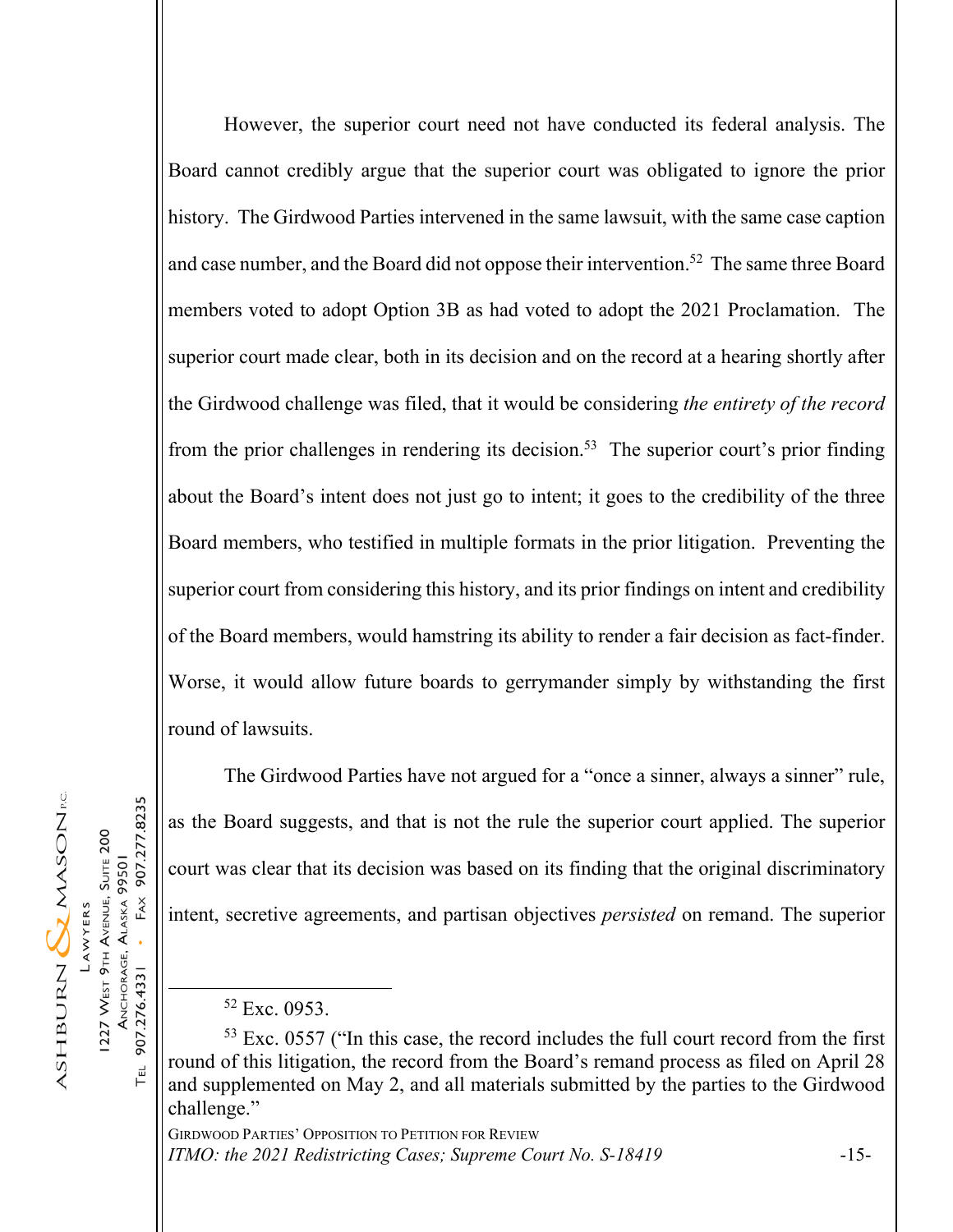However, the superior court need not have conducted its federal analysis. The Board cannot credibly argue that the superior court was obligated to ignore the prior history. The Girdwood Parties intervened in the same lawsuit, with the same case caption and case number, and the Board did not oppose their intervention.<sup>52</sup> The same three Board members voted to adopt Option 3B as had voted to adopt the 2021 Proclamation. The superior court made clear, both in its decision and on the record at a hearing shortly after the Girdwood challenge was filed, that it would be considering *the entirety of the record*  from the prior challenges in rendering its decision.<sup>53</sup> The superior court's prior finding about the Board's intent does not just go to intent; it goes to the credibility of the three Board members, who testified in multiple formats in the prior litigation. Preventing the superior court from considering this history, and its prior findings on intent and credibility of the Board members, would hamstring its ability to render a fair decision as fact-finder. Worse, it would allow future boards to gerrymander simply by withstanding the first round of lawsuits.

907.277.8235 1227 WEST 9TH AVENUE, SUITE 200 ANCHORAGE, ALASKA 99501  $FAX$ LAWYERS 907.276.4331

 $\ddot{\phantom{0}}$ 

ГEL

ASHBURN & MASON

The Girdwood Parties have not argued for a "once a sinner, always a sinner" rule, as the Board suggests, and that is not the rule the superior court applied. The superior court was clear that its decision was based on its finding that the original discriminatory intent, secretive agreements, and partisan objectives *persisted* on remand. The superior

GIRDWOOD PARTIES' OPPOSITION TO PETITION FOR REVIEW *ITMO: the 2021 Redistricting Cases; Supreme Court No. S-18419* -15-

<sup>52</sup> Exc. 0953.

<sup>53</sup> Exc. 0557 ("In this case, the record includes the full court record from the first round of this litigation, the record from the Board's remand process as filed on April 28 and supplemented on May 2, and all materials submitted by the parties to the Girdwood challenge."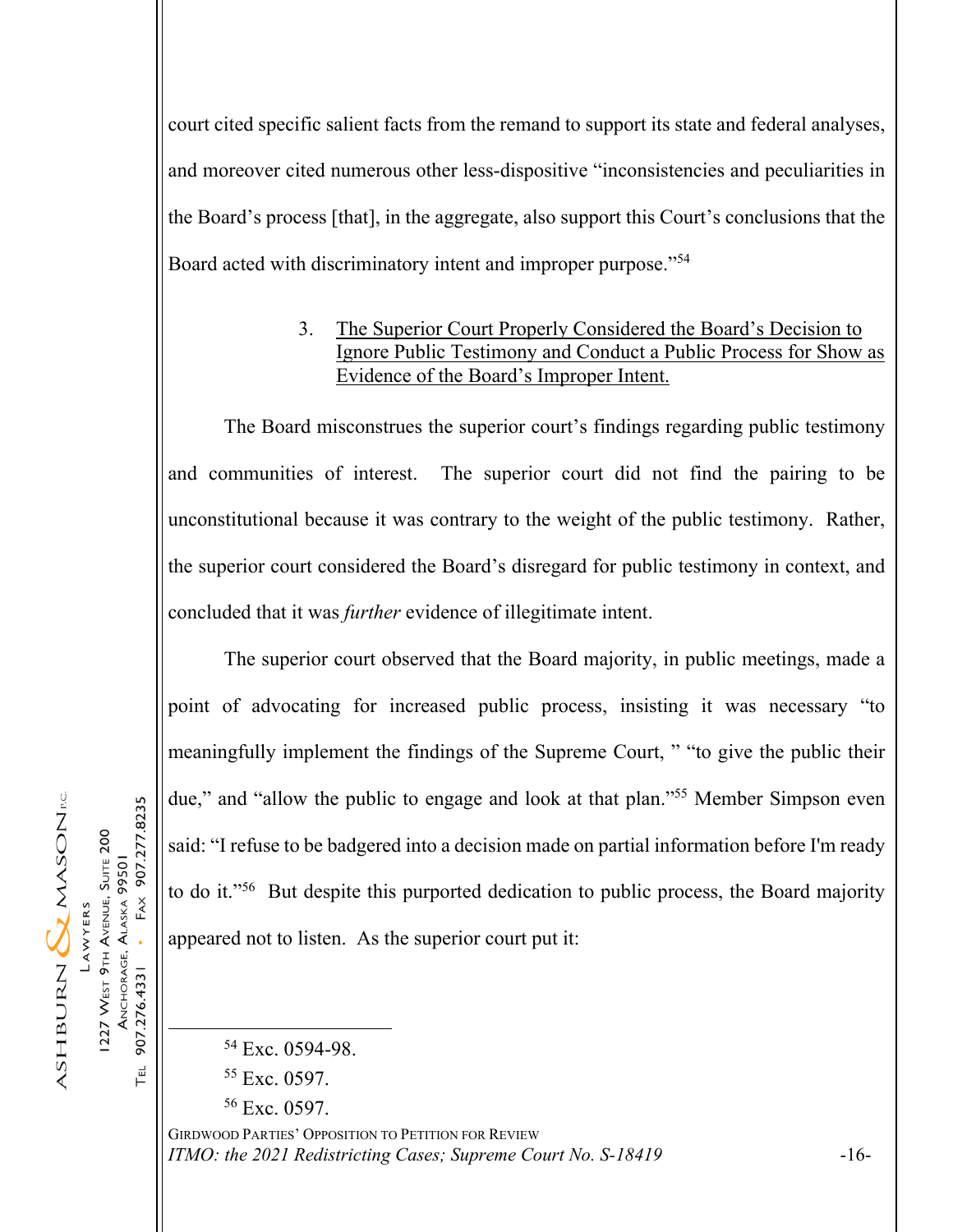court cited specific salient facts from the remand to support its state and federal analyses, and moreover cited numerous other less-dispositive "inconsistencies and peculiarities in the Board's process [that], in the aggregate, also support this Court's conclusions that the Board acted with discriminatory intent and improper purpose."54

#### 3. The Superior Court Properly Considered the Board's Decision to Ignore Public Testimony and Conduct a Public Process for Show as Evidence of the Board's Improper Intent.

The Board misconstrues the superior court's findings regarding public testimony and communities of interest. The superior court did not find the pairing to be unconstitutional because it was contrary to the weight of the public testimony. Rather, the superior court considered the Board's disregard for public testimony in context, and concluded that it was *further* evidence of illegitimate intent.

The superior court observed that the Board majority, in public meetings, made a point of advocating for increased public process, insisting it was necessary "to meaningfully implement the findings of the Supreme Court, " "to give the public their due," and "allow the public to engage and look at that plan."<sup>55</sup> Member Simpson even said: "I refuse to be badgered into a decision made on partial information before I'm ready to do it."56 But despite this purported dedication to public process, the Board majority appeared not to listen. As the superior court put it:

FAX 907.277.8235 1227 WEST 9TH AVENUE, SUITE 200 ANCHORAGE, ALASKA 99501  $\ddot{\phantom{a}}$ 907.276.4331  $\Gamma$ EL

ASHBURN & MASON

LAWYERS

54 Exc. 0594-98.

- 55 Exc. 0597.
- 56 Exc. 0597.

GIRDWOOD PARTIES' OPPOSITION TO PETITION FOR REVIEW *ITMO: the 2021 Redistricting Cases; Supreme Court No. S-18419* -16-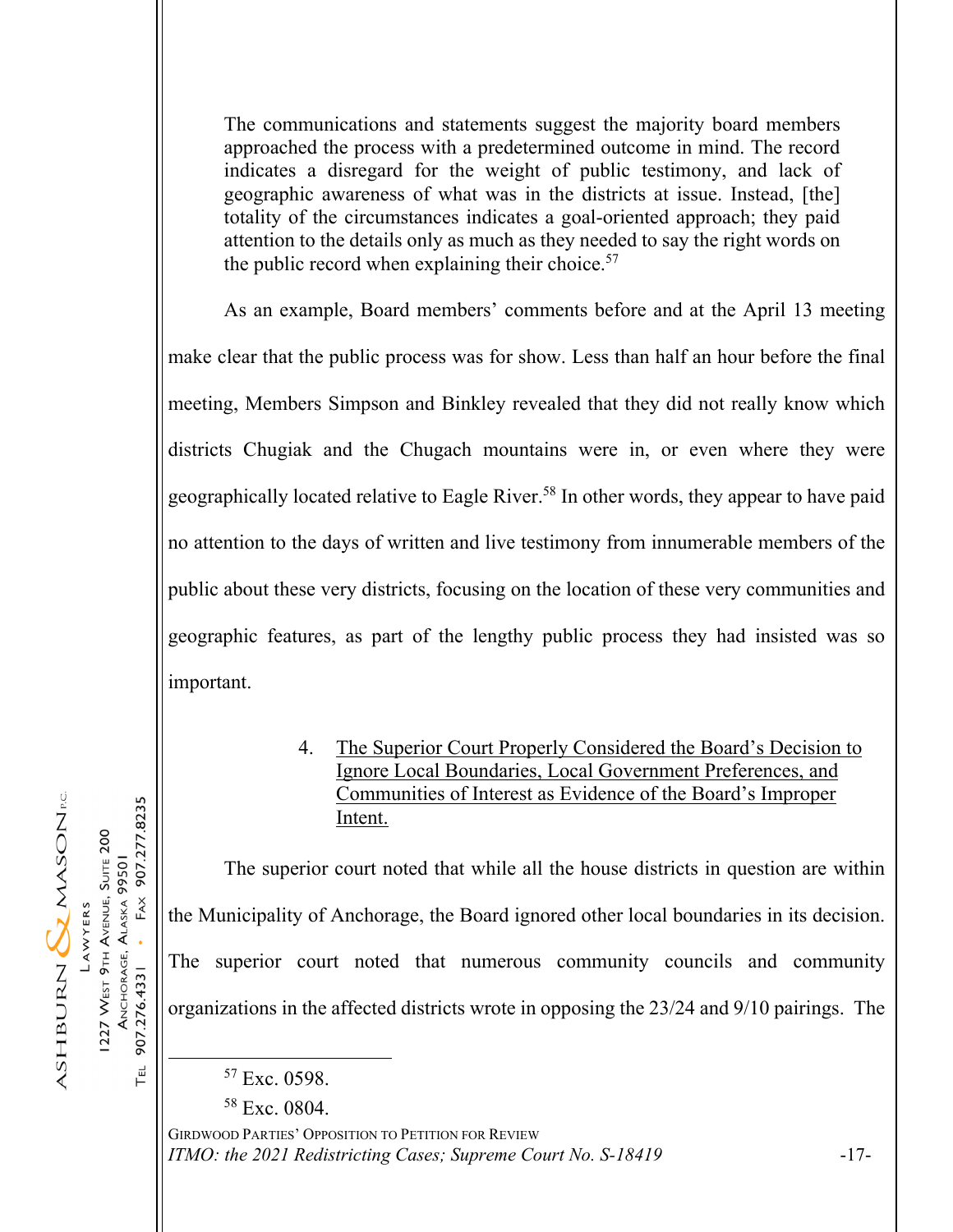The communications and statements suggest the majority board members approached the process with a predetermined outcome in mind. The record indicates a disregard for the weight of public testimony, and lack of geographic awareness of what was in the districts at issue. Instead, [the] totality of the circumstances indicates a goal-oriented approach; they paid attention to the details only as much as they needed to say the right words on the public record when explaining their choice.<sup>57</sup>

As an example, Board members' comments before and at the April 13 meeting make clear that the public process was for show. Less than half an hour before the final meeting, Members Simpson and Binkley revealed that they did not really know which districts Chugiak and the Chugach mountains were in, or even where they were geographically located relative to Eagle River.<sup>58</sup> In other words, they appear to have paid no attention to the days of written and live testimony from innumerable members of the public about these very districts, focusing on the location of these very communities and geographic features, as part of the lengthy public process they had insisted was so important.

> 4. The Superior Court Properly Considered the Board's Decision to Ignore Local Boundaries, Local Government Preferences, and Communities of Interest as Evidence of the Board's Improper Intent.

The superior court noted that while all the house districts in question are within the Municipality of Anchorage, the Board ignored other local boundaries in its decision. The superior court noted that numerous community councils and community organizations in the affected districts wrote in opposing the 23/24 and 9/10 pairings. The

57 Exc. 0598.

58 Exc. 0804.

GIRDWOOD PARTIES' OPPOSITION TO PETITION FOR REVIEW *ITMO: the 2021 Redistricting Cases; Supreme Court No. S-18419* -17-

907.277.8235

 $FAX$ 

 $\ddot{\phantom{0}}$ 

907.276.4331

 $T_{EL}$ 

ANCHORAGE, ALASKA 99501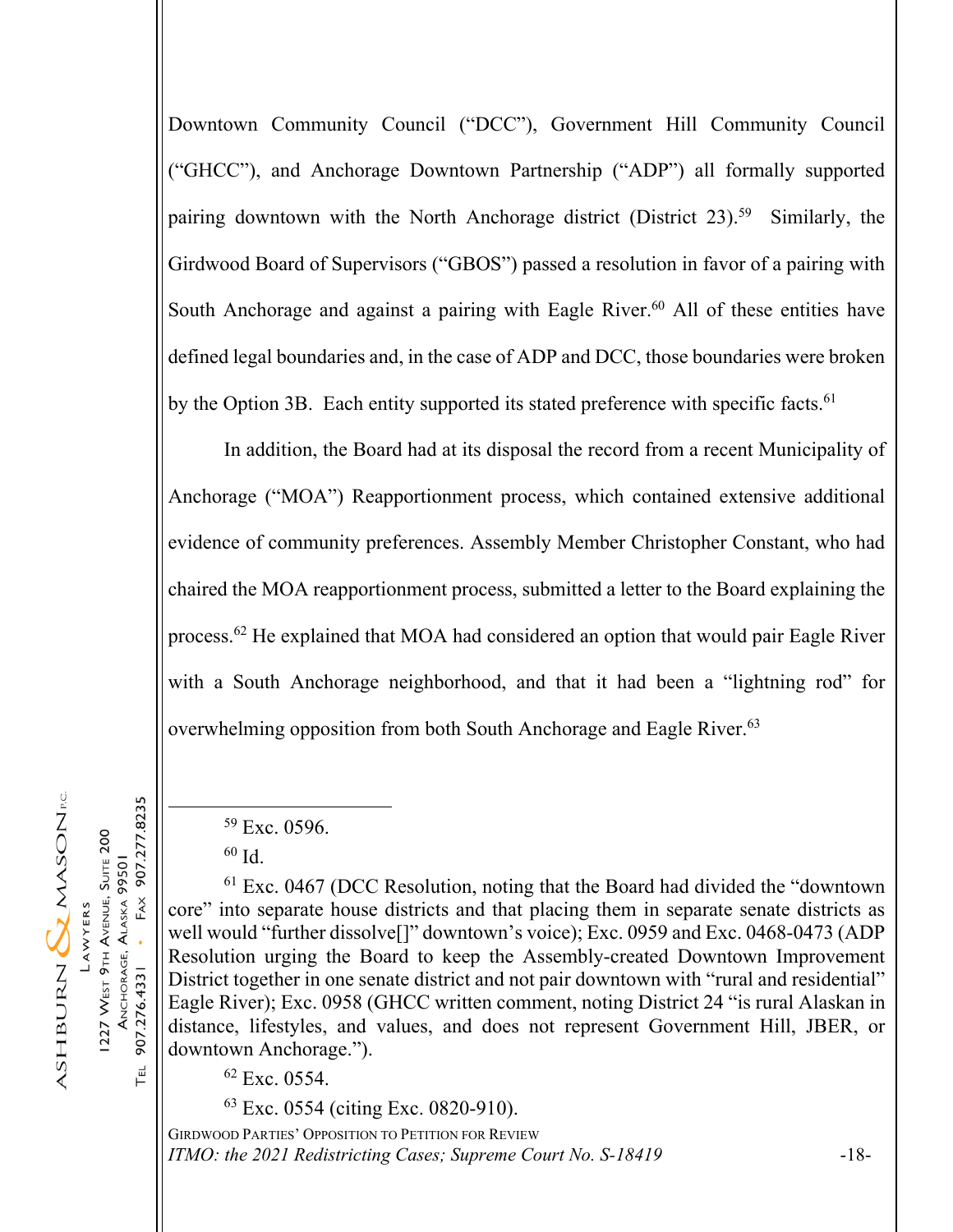Downtown Community Council ("DCC"), Government Hill Community Council ("GHCC"), and Anchorage Downtown Partnership ("ADP") all formally supported pairing downtown with the North Anchorage district  $(D)\right]^{59}$  Similarly, the Girdwood Board of Supervisors ("GBOS") passed a resolution in favor of a pairing with South Anchorage and against a pairing with Eagle River.<sup>60</sup> All of these entities have defined legal boundaries and, in the case of ADP and DCC, those boundaries were broken by the Option 3B. Each entity supported its stated preference with specific facts.<sup>61</sup>

In addition, the Board had at its disposal the record from a recent Municipality of Anchorage ("MOA") Reapportionment process, which contained extensive additional evidence of community preferences. Assembly Member Christopher Constant, who had chaired the MOA reapportionment process, submitted a letter to the Board explaining the process.62 He explained that MOA had considered an option that would pair Eagle River with a South Anchorage neighborhood, and that it had been a "lightning rod" for overwhelming opposition from both South Anchorage and Eagle River.<sup>63</sup>

ASHBURN & MASON

227 WEST 9TH AVENUE, SUITE 200 ANCHORAGE, ALASKA 99501

LAWYERS

907.277.8235

 $FAX$ 

 $\ddot{\phantom{a}}$ 

907.276.4331

ГEL

 $61$  Exc. 0467 (DCC Resolution, noting that the Board had divided the "downtown" core" into separate house districts and that placing them in separate senate districts as well would "further dissolve[]" downtown's voice); Exc. 0959 and Exc. 0468-0473 (ADP Resolution urging the Board to keep the Assembly-created Downtown Improvement District together in one senate district and not pair downtown with "rural and residential" Eagle River); Exc. 0958 (GHCC written comment, noting District 24 "is rural Alaskan in distance, lifestyles, and values, and does not represent Government Hill, JBER, or downtown Anchorage.").

62 Exc. 0554.

63 Exc. 0554 (citing Exc. 0820-910).

GIRDWOOD PARTIES' OPPOSITION TO PETITION FOR REVIEW *ITMO: the 2021 Redistricting Cases; Supreme Court No. S-18419* -18-

<sup>59</sup> Exc. 0596.

 $60$  Id.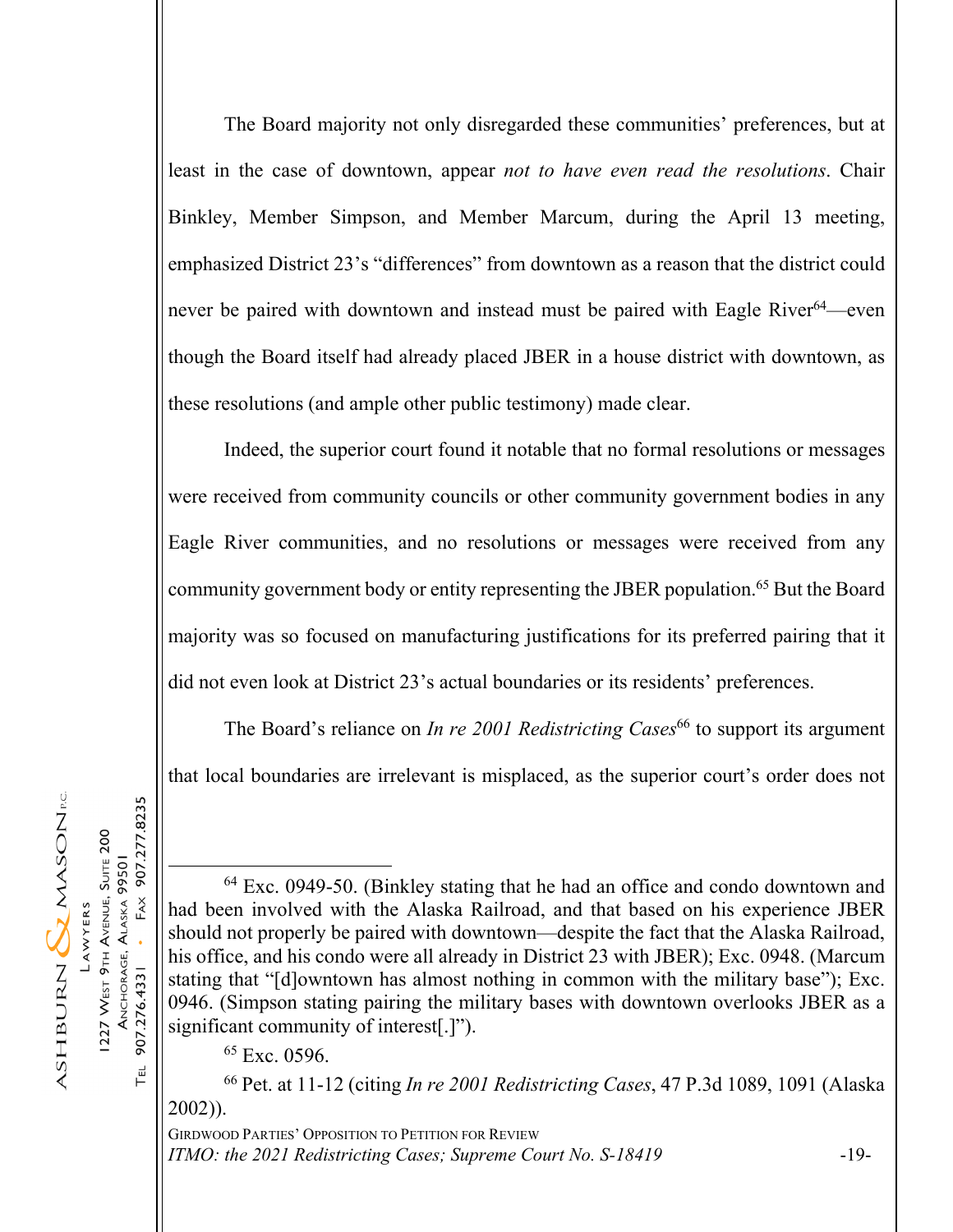The Board majority not only disregarded these communities' preferences, but at least in the case of downtown, appear *not to have even read the resolutions*. Chair Binkley, Member Simpson, and Member Marcum, during the April 13 meeting, emphasized District 23's "differences" from downtown as a reason that the district could never be paired with downtown and instead must be paired with Eagle River<sup>64</sup>—even though the Board itself had already placed JBER in a house district with downtown, as these resolutions (and ample other public testimony) made clear.

Indeed, the superior court found it notable that no formal resolutions or messages were received from community councils or other community government bodies in any Eagle River communities, and no resolutions or messages were received from any community government body or entity representing the JBER population.<sup>65</sup> But the Board majority was so focused on manufacturing justifications for its preferred pairing that it did not even look at District 23's actual boundaries or its residents' preferences.

The Board's reliance on *In re 2001 Redistricting Cases*<sup>66</sup> to support its argument that local boundaries are irrelevant is misplaced, as the superior court's order does not

907.277.8235 1227 WEST 9TH AVENUE, SUITE 200 ANCHORAGE, ALASKA 99501  $FAX$ LAWYERS 907.276.4331

 $\overline{\Gamma}$ EL

ASHBURN & MASON

<sup>65</sup> Exc. 0596.

66 Pet. at 11-12 (citing *In re 2001 Redistricting Cases*, 47 P.3d 1089, 1091 (Alaska 2002)).

GIRDWOOD PARTIES' OPPOSITION TO PETITION FOR REVIEW *ITMO: the 2021 Redistricting Cases; Supreme Court No. S-18419* -19-

<sup>64</sup> Exc. 0949-50. (Binkley stating that he had an office and condo downtown and had been involved with the Alaska Railroad, and that based on his experience JBER should not properly be paired with downtown—despite the fact that the Alaska Railroad, his office, and his condo were all already in District 23 with JBER); Exc. 0948. (Marcum stating that "[d]owntown has almost nothing in common with the military base"); Exc. 0946. (Simpson stating pairing the military bases with downtown overlooks JBER as a significant community of interest[.]").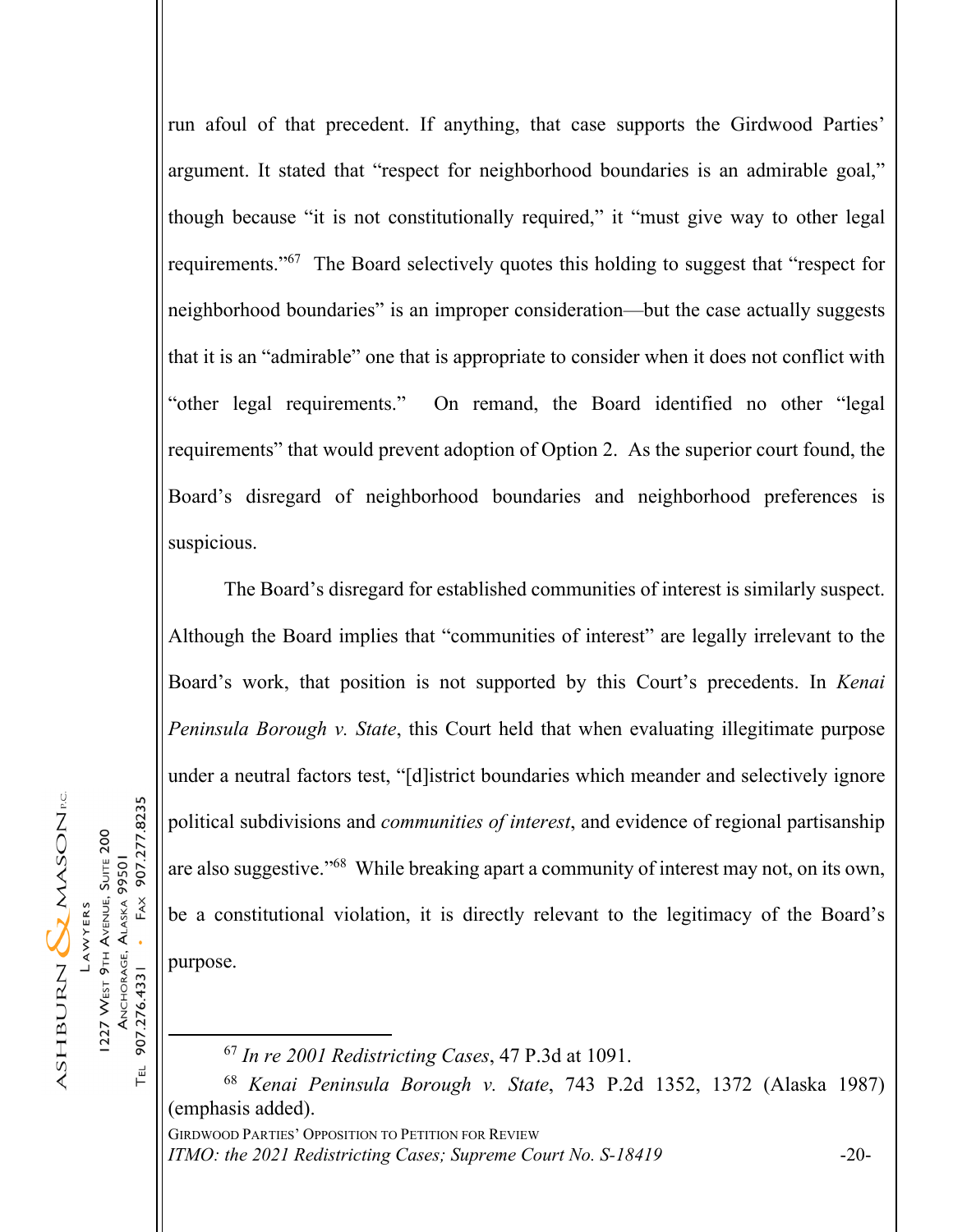run afoul of that precedent. If anything, that case supports the Girdwood Parties' argument. It stated that "respect for neighborhood boundaries is an admirable goal," though because "it is not constitutionally required," it "must give way to other legal requirements."67 The Board selectively quotes this holding to suggest that "respect for neighborhood boundaries" is an improper consideration—but the case actually suggests that it is an "admirable" one that is appropriate to consider when it does not conflict with "other legal requirements." On remand, the Board identified no other "legal requirements" that would prevent adoption of Option 2. As the superior court found, the Board's disregard of neighborhood boundaries and neighborhood preferences is suspicious.

The Board's disregard for established communities of interest is similarly suspect. Although the Board implies that "communities of interest" are legally irrelevant to the Board's work, that position is not supported by this Court's precedents. In *Kenai Peninsula Borough v. State*, this Court held that when evaluating illegitimate purpose under a neutral factors test, "[d]istrict boundaries which meander and selectively ignore political subdivisions and *communities of interest*, and evidence of regional partisanship are also suggestive."68 While breaking apart a community of interest may not, on its own, be a constitutional violation, it is directly relevant to the legitimacy of the Board's purpose.

<sup>67</sup> *In re 2001 Redistricting Cases*, 47 P.3d at 1091.

<sup>68</sup> *Kenai Peninsula Borough v. State*, 743 P.2d 1352, 1372 (Alaska 1987) (emphasis added).

GIRDWOOD PARTIES' OPPOSITION TO PETITION FOR REVIEW *ITMO: the 2021 Redistricting Cases; Supreme Court No. S-18419* -20-

ASHBURN & MASON

1227 WEST 9TH AVENUE, SUITE 200 ANCHORAGE, ALASKA 99501

LAWYERS

907.277.8235

 $FAX$ 

 $\ddot{\phantom{0}}$ 

907.276.4331

 $\overline{\Gamma}$ EL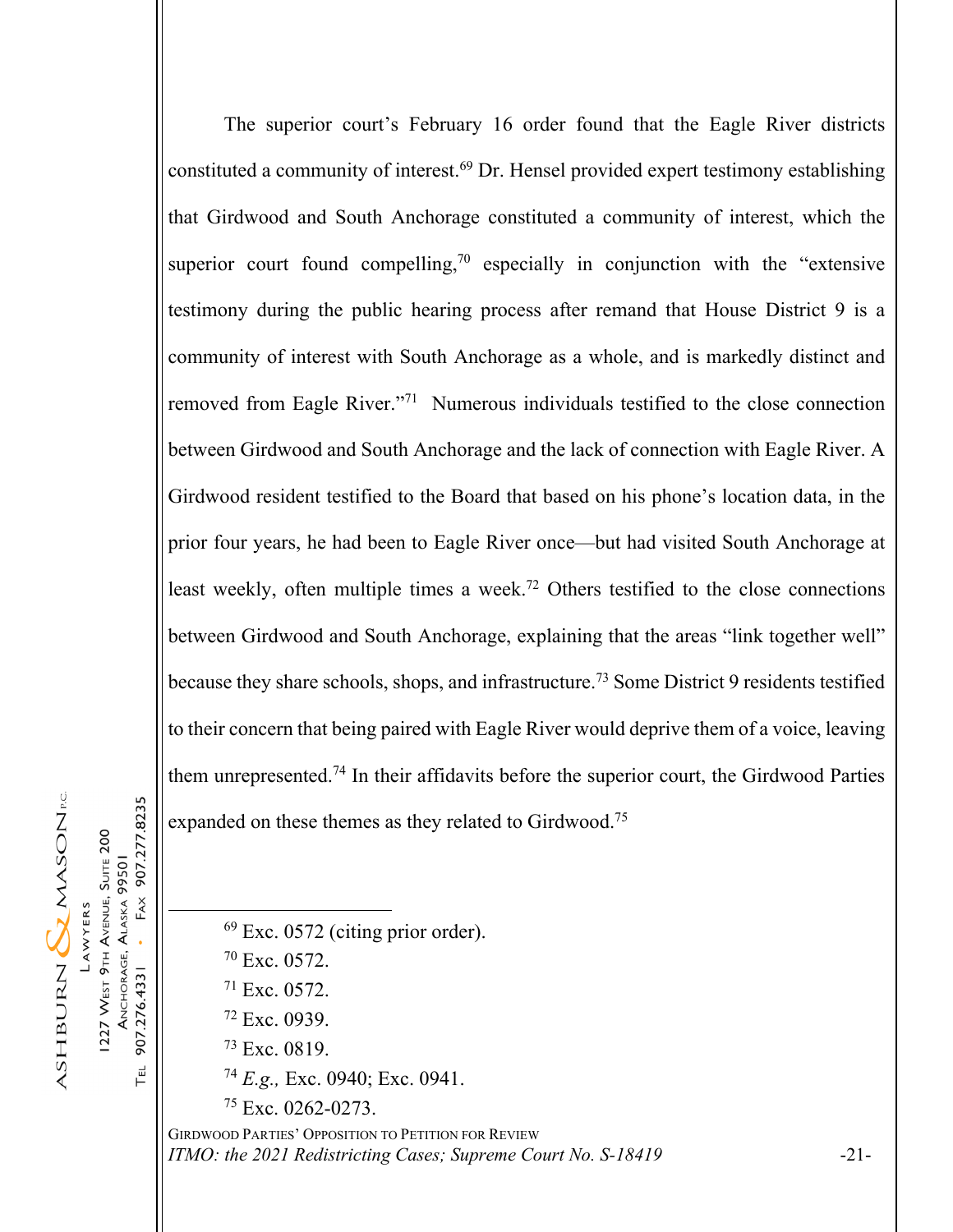The superior court's February 16 order found that the Eagle River districts constituted a community of interest.<sup>69</sup> Dr. Hensel provided expert testimony establishing that Girdwood and South Anchorage constituted a community of interest, which the superior court found compelling,<sup>70</sup> especially in conjunction with the "extensive" testimony during the public hearing process after remand that House District 9 is a community of interest with South Anchorage as a whole, and is markedly distinct and removed from Eagle River."71 Numerous individuals testified to the close connection between Girdwood and South Anchorage and the lack of connection with Eagle River. A Girdwood resident testified to the Board that based on his phone's location data, in the prior four years, he had been to Eagle River once—but had visited South Anchorage at least weekly, often multiple times a week.72 Others testified to the close connections between Girdwood and South Anchorage, explaining that the areas "link together well" because they share schools, shops, and infrastructure.73 Some District 9 residents testified to their concern that being paired with Eagle River would deprive them of a voice, leaving them unrepresented.74 In their affidavits before the superior court, the Girdwood Parties expanded on these themes as they related to Girdwood.75

1227 WEST 9TH AVENUE, SUITE 200 ANCHORAGE, ALASKA 99501 LAWYERS

FAX 907.277.8235

 $\ddot{\phantom{0}}$ 

907.276.4331

**T<sub>EL</sub>** 

ASHBURN & MASON

- 69 Exc. 0572 (citing prior order).
- 70 Exc. 0572.
- 71 Exc. 0572.
- 72 Exc. 0939.
- 73 Exc. 0819.
- <sup>74</sup> *E.g.,* Exc. 0940; Exc. 0941.
- 75 Exc. 0262-0273.

GIRDWOOD PARTIES' OPPOSITION TO PETITION FOR REVIEW *ITMO: the 2021 Redistricting Cases; Supreme Court No. S-18419* -21-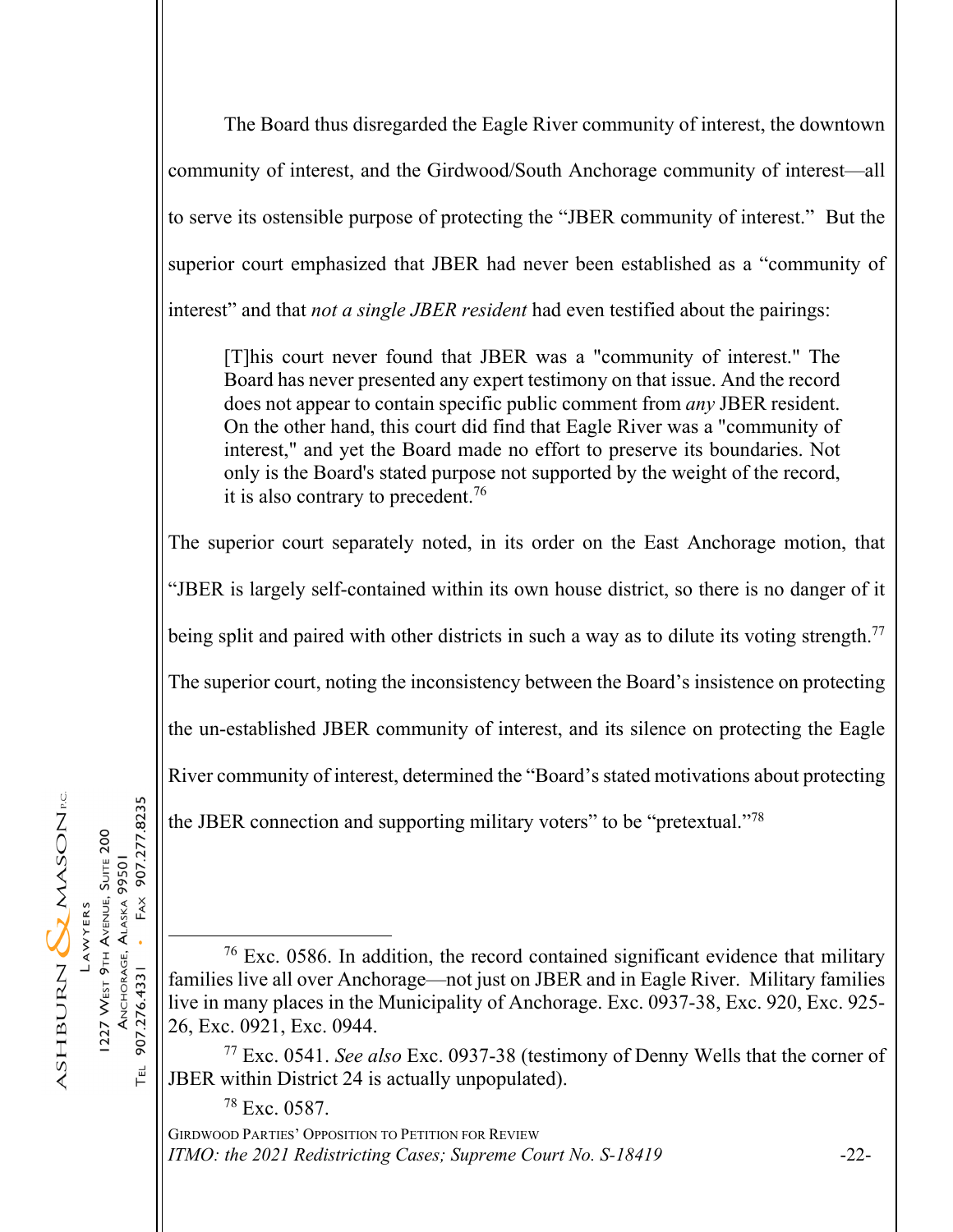The Board thus disregarded the Eagle River community of interest, the downtown community of interest, and the Girdwood/South Anchorage community of interest—all to serve its ostensible purpose of protecting the "JBER community of interest." But the superior court emphasized that JBER had never been established as a "community of interest" and that *not a single JBER resident* had even testified about the pairings:

[T]his court never found that JBER was a "community of interest." The Board has never presented any expert testimony on that issue. And the record does not appear to contain specific public comment from *any* JBER resident. On the other hand, this court did find that Eagle River was a "community of interest," and yet the Board made no effort to preserve its boundaries. Not only is the Board's stated purpose not supported by the weight of the record, it is also contrary to precedent.<sup>76</sup>

The superior court separately noted, in its order on the East Anchorage motion, that

"JBER is largely self-contained within its own house district, so there is no danger of it

being split and paired with other districts in such a way as to dilute its voting strength.<sup>77</sup>

The superior court, noting the inconsistency between the Board's insistence on protecting

the un-established JBER community of interest, and its silence on protecting the Eagle

River community of interest, determined the "Board's stated motivations about protecting

the JBER connection and supporting military voters" to be "pretextual."78

FAX 907.277.8235 227 WEST 9TH AVENUE, SUITE 200 ANCHORAGE, ALASKA 99501  $\ddot{\phantom{a}}$ 907.276.4331 ГEL

ASHBURN $\bigotimes_{MASON}$ re

LAWYERS

77 Exc. 0541. *See also* Exc. 0937-38 (testimony of Denny Wells that the corner of JBER within District 24 is actually unpopulated).

78 Exc. 0587.

GIRDWOOD PARTIES' OPPOSITION TO PETITION FOR REVIEW *ITMO: the 2021 Redistricting Cases; Supreme Court No. S-18419* -22-

<sup>76</sup> Exc. 0586. In addition, the record contained significant evidence that military families live all over Anchorage—not just on JBER and in Eagle River. Military families live in many places in the Municipality of Anchorage. Exc. 0937-38, Exc. 920, Exc. 925- 26, Exc. 0921, Exc. 0944.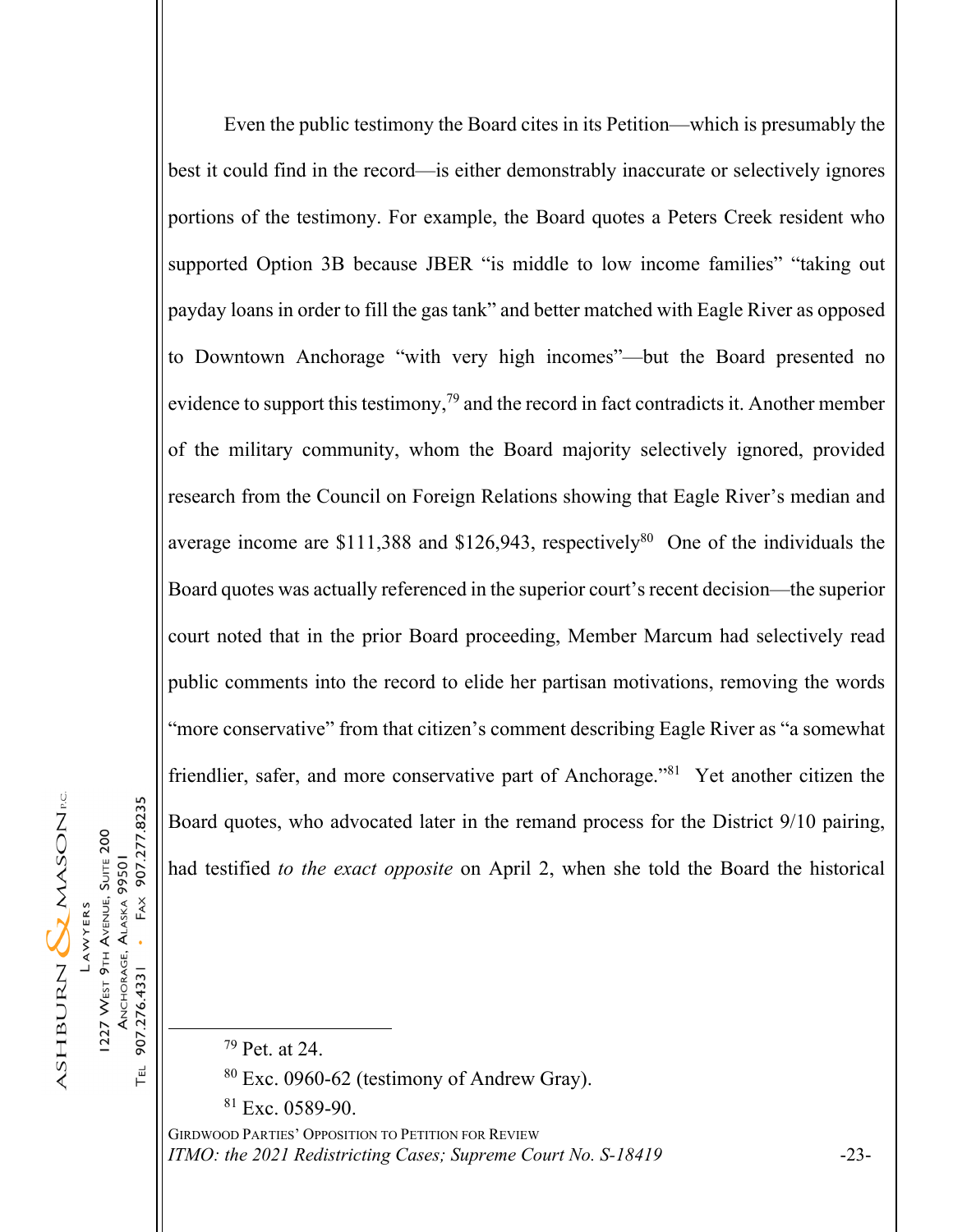Even the public testimony the Board cites in its Petition—which is presumably the best it could find in the record—is either demonstrably inaccurate or selectively ignores portions of the testimony. For example, the Board quotes a Peters Creek resident who supported Option 3B because JBER "is middle to low income families" "taking out payday loans in order to fill the gas tank" and better matched with Eagle River as opposed to Downtown Anchorage "with very high incomes"—but the Board presented no evidence to support this testimony,<sup>79</sup> and the record in fact contradicts it. Another member of the military community, whom the Board majority selectively ignored, provided research from the Council on Foreign Relations showing that Eagle River's median and average income are  $$111,388$  and  $$126,943$ , respectively<sup>80</sup> One of the individuals the Board quotes was actually referenced in the superior court's recent decision—the superior court noted that in the prior Board proceeding, Member Marcum had selectively read public comments into the record to elide her partisan motivations, removing the words "more conservative" from that citizen's comment describing Eagle River as "a somewhat friendlier, safer, and more conservative part of Anchorage."81 Yet another citizen the Board quotes, who advocated later in the remand process for the District 9/10 pairing, had testified *to the exact opposite* on April 2, when she told the Board the historical

ASHBURN & MASON 1227 WEST 9TH AVENUE, SUITE 200 ANCHORAGE, ALASKA 99501 LAWYERS

 $FAX$  $\ddot{\phantom{0}}$ 907.276.4331 **T<sub>EL</sub>** 

907.277.8235

GIRDWOOD PARTIES' OPPOSITION TO PETITION FOR REVIEW 79 Pet. at 24.  $80$  Exc. 0960-62 (testimony of Andrew Gray).  $81$  Exc. 0589-90.

*ITMO: the 2021 Redistricting Cases; Supreme Court No. S-18419* -23-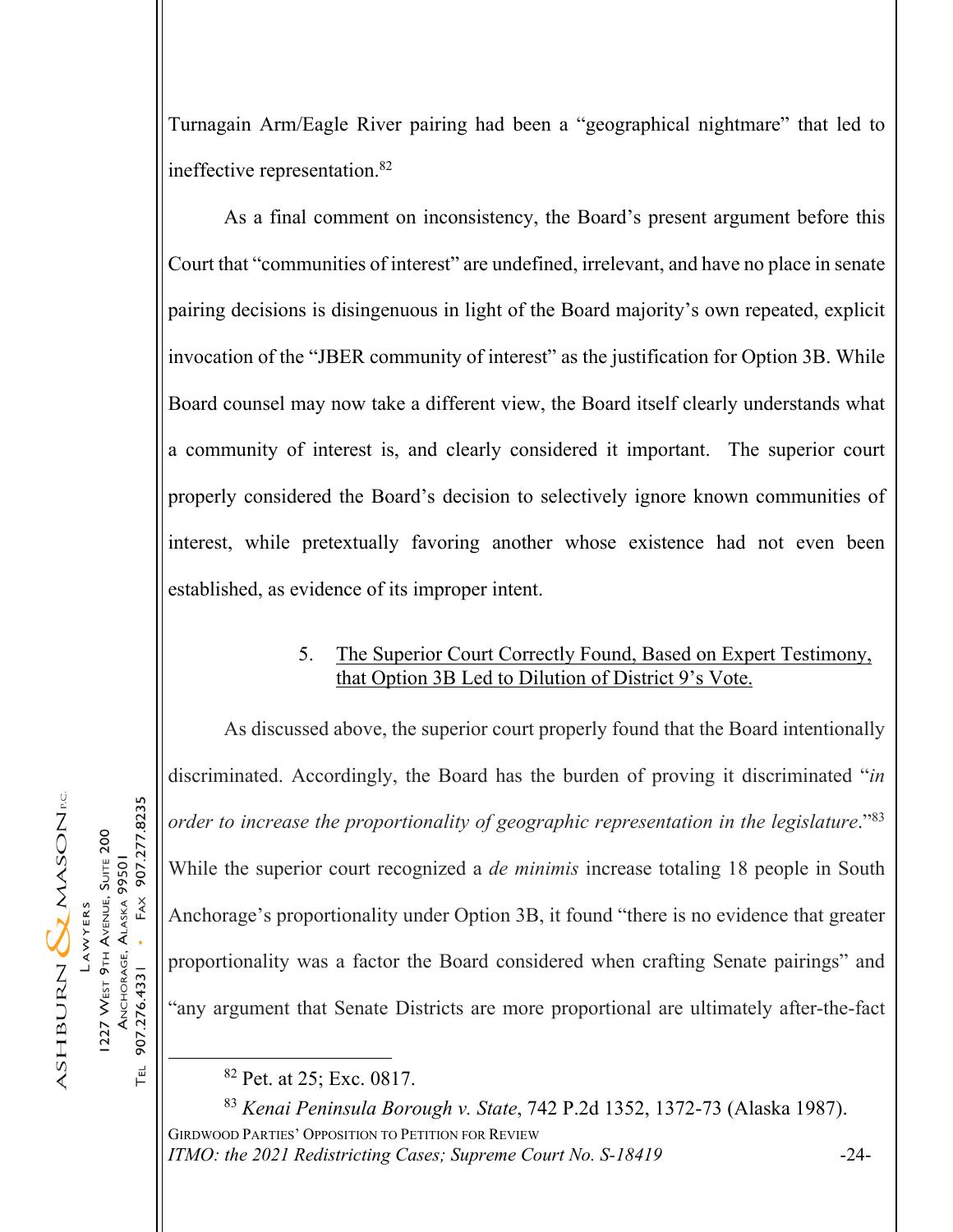Turnagain Arm/Eagle River pairing had been a "geographical nightmare" that led to ineffective representation.82

As a final comment on inconsistency, the Board's present argument before this Court that "communities of interest" are undefined, irrelevant, and have no place in senate pairing decisions is disingenuous in light of the Board majority's own repeated, explicit invocation of the "JBER community of interest" as the justification for Option 3B. While Board counsel may now take a different view, the Board itself clearly understands what a community of interest is, and clearly considered it important. The superior court properly considered the Board's decision to selectively ignore known communities of interest, while pretextually favoring another whose existence had not even been established, as evidence of its improper intent.

#### 5. The Superior Court Correctly Found, Based on Expert Testimony, that Option 3B Led to Dilution of District 9's Vote.

As discussed above, the superior court properly found that the Board intentionally discriminated. Accordingly, the Board has the burden of proving it discriminated "*in order to increase the proportionality of geographic representation in the legislature.*"<sup>83</sup> While the superior court recognized a *de minimis* increase totaling 18 people in South Anchorage's proportionality under Option 3B, it found "there is no evidence that greater proportionality was a factor the Board considered when crafting Senate pairings" and "any argument that Senate Districts are more proportional are ultimately after-the-fact

GIRDWOOD PARTIES' OPPOSITION TO PETITION FOR REVIEW *ITMO: the 2021 Redistricting Cases; Supreme Court No. S-18419* -24-<sup>83</sup> *Kenai Peninsula Borough v. State*, 742 P.2d 1352, 1372-73 (Alaska 1987).

907.277.8235 1227 WEST 9TH AVENUE, SUITE 200 ANCHORAGE, ALASKA 99501  $FAX$ LAWYERS 907.276.4331

 $\ddot{\phantom{a}}$ 

 $T_{EL}$ 

ASHBURN & MASON

<sup>82</sup> Pet. at 25; Exc. 0817.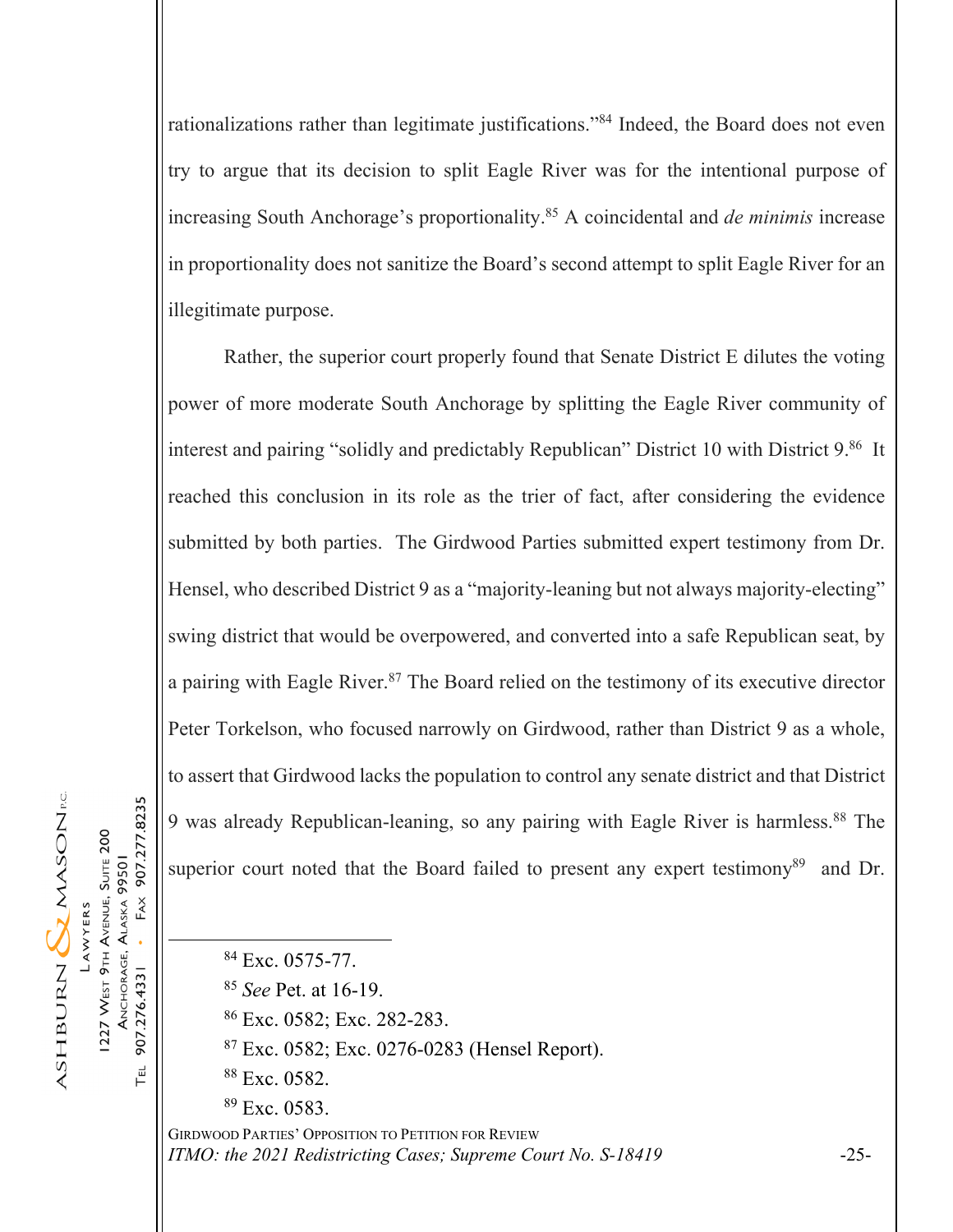rationalizations rather than legitimate justifications."84 Indeed, the Board does not even try to argue that its decision to split Eagle River was for the intentional purpose of increasing South Anchorage's proportionality.85 A coincidental and *de minimis* increase in proportionality does not sanitize the Board's second attempt to split Eagle River for an illegitimate purpose.

Rather, the superior court properly found that Senate District E dilutes the voting power of more moderate South Anchorage by splitting the Eagle River community of interest and pairing "solidly and predictably Republican" District 10 with District 9.86 It reached this conclusion in its role as the trier of fact, after considering the evidence submitted by both parties. The Girdwood Parties submitted expert testimony from Dr. Hensel, who described District 9 as a "majority-leaning but not always majority-electing" swing district that would be overpowered, and converted into a safe Republican seat, by a pairing with Eagle River.87 The Board relied on the testimony of its executive director Peter Torkelson, who focused narrowly on Girdwood, rather than District 9 as a whole, to assert that Girdwood lacks the population to control any senate district and that District 9 was already Republican-leaning, so any pairing with Eagle River is harmless.88 The superior court noted that the Board failed to present any expert testimony<sup>89</sup> and Dr.

907.277.8235 1227 WEST 9TH AVENUE, SUITE 200 ANCHORAGE, ALASKA 99501  $FAX$ LAWYERS  $\ddot{\phantom{0}}$ 907.276.4331 **T<sub>EL</sub>** 

ASHBURN & MASON

- <sup>85</sup> *See* Pet. at 16-19.
- 86 Exc. 0582; Exc. 282-283.
- 87 Exc. 0582; Exc. 0276-0283 (Hensel Report).
- 88 Exc. 0582.
- $89$  Exc. 0583.

GIRDWOOD PARTIES' OPPOSITION TO PETITION FOR REVIEW *ITMO: the 2021 Redistricting Cases; Supreme Court No. S-18419* -25-

<sup>&</sup>lt;sup>84</sup> Exc. 0575-77.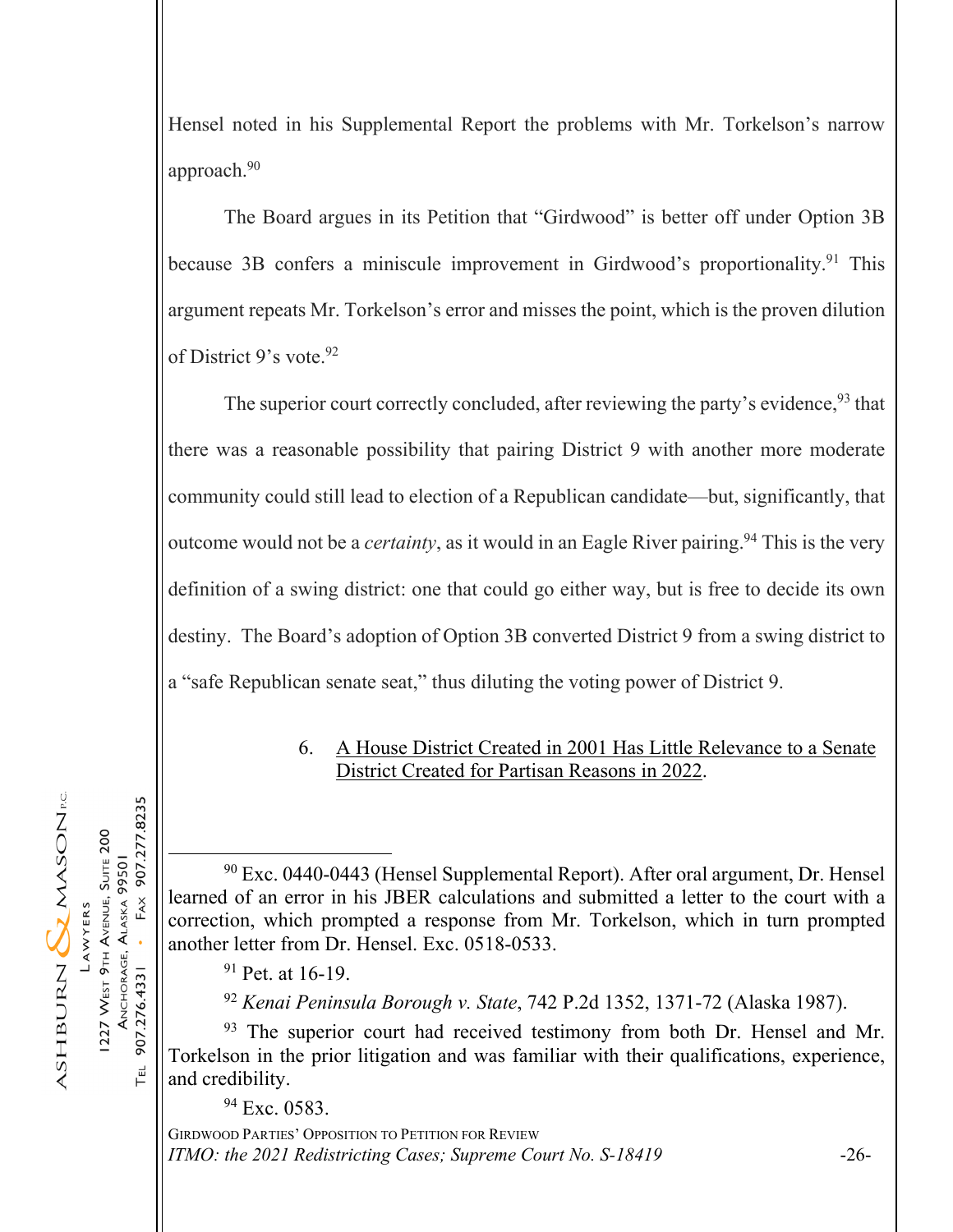Hensel noted in his Supplemental Report the problems with Mr. Torkelson's narrow approach.90

The Board argues in its Petition that "Girdwood" is better off under Option 3B because 3B confers a miniscule improvement in Girdwood's proportionality.<sup>91</sup> This argument repeats Mr. Torkelson's error and misses the point, which is the proven dilution of District 9's vote.<sup>92</sup>

The superior court correctly concluded, after reviewing the party's evidence,  $93$  that there was a reasonable possibility that pairing District 9 with another more moderate community could still lead to election of a Republican candidate—but, significantly, that outcome would not be a *certainty*, as it would in an Eagle River pairing.<sup>94</sup> This is the very definition of a swing district: one that could go either way, but is free to decide its own destiny. The Board's adoption of Option 3B converted District 9 from a swing district to a "safe Republican senate seat," thus diluting the voting power of District 9.

### 6. A House District Created in 2001 Has Little Relevance to a Senate District Created for Partisan Reasons in 2022.

90 Exc. 0440-0443 (Hensel Supplemental Report). After oral argument, Dr. Hensel learned of an error in his JBER calculations and submitted a letter to the court with a correction, which prompted a response from Mr. Torkelson, which in turn prompted another letter from Dr. Hensel. Exc. 0518-0533.

<sup>92</sup> *Kenai Peninsula Borough v. State*, 742 P.2d 1352, 1371-72 (Alaska 1987).

 $93$  The superior court had received testimony from both Dr. Hensel and Mr. Torkelson in the prior litigation and was familiar with their qualifications, experience, and credibility.

<sup>94</sup> Exc. 0583.

GIRDWOOD PARTIES' OPPOSITION TO PETITION FOR REVIEW *ITMO: the 2021 Redistricting Cases; Supreme Court No. S-18419* -26-

ASHBURN & MASON 1227 WEST 9TH AVENUE, SUITE 200 ANCHORAGE, ALASKA 99501 LAWYERS

907.277.8235

 $FAX$ 

 $\ddot{\phantom{0}}$ 

907.276.4331

ТEL

 $91$  Pet. at 16-19.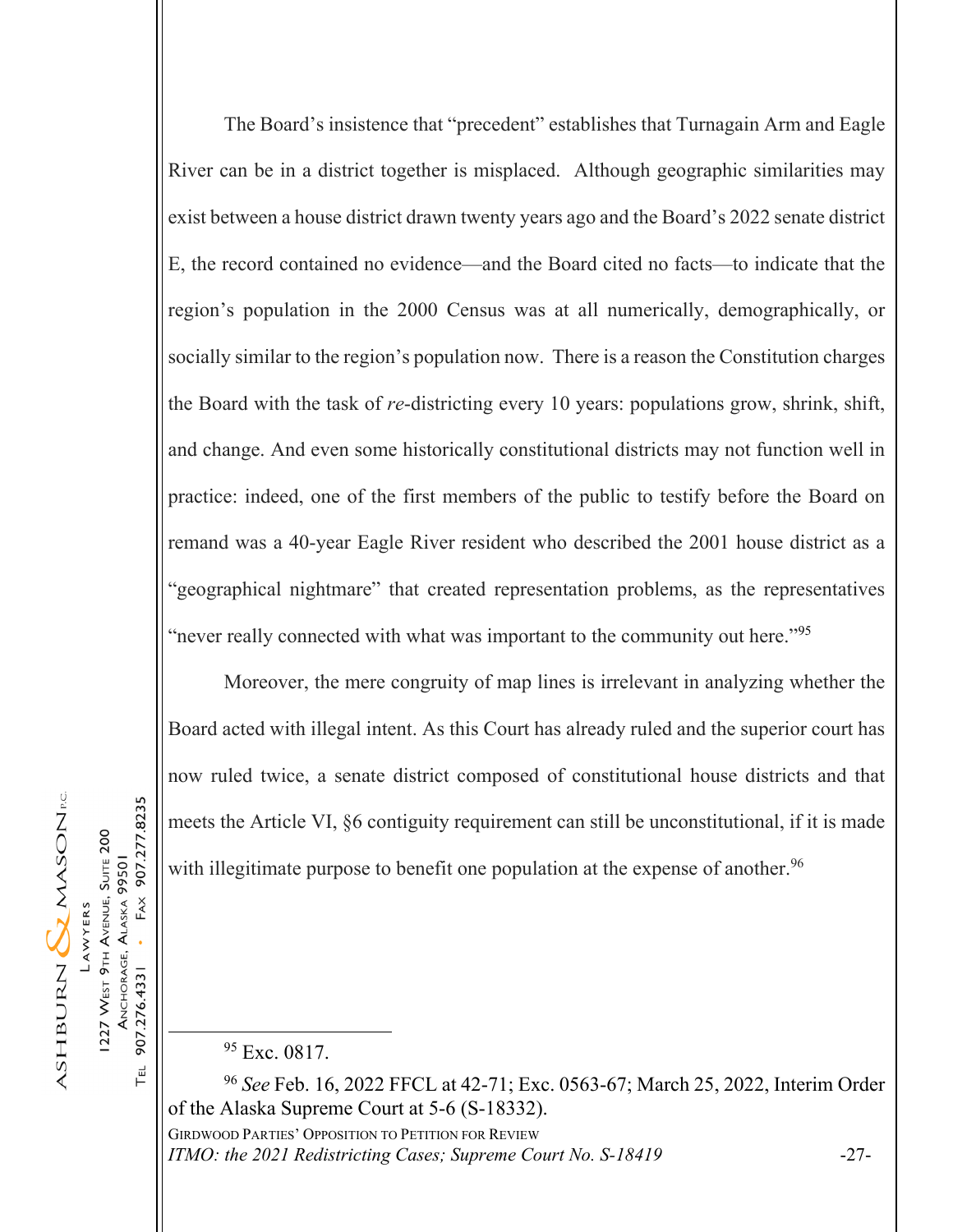The Board's insistence that "precedent" establishes that Turnagain Arm and Eagle River can be in a district together is misplaced. Although geographic similarities may exist between a house district drawn twenty years ago and the Board's 2022 senate district E, the record contained no evidence—and the Board cited no facts—to indicate that the region's population in the 2000 Census was at all numerically, demographically, or socially similar to the region's population now. There is a reason the Constitution charges the Board with the task of *re*-districting every 10 years: populations grow, shrink, shift, and change. And even some historically constitutional districts may not function well in practice: indeed, one of the first members of the public to testify before the Board on remand was a 40-year Eagle River resident who described the 2001 house district as a "geographical nightmare" that created representation problems, as the representatives "never really connected with what was important to the community out here."<sup>95</sup>

Moreover, the mere congruity of map lines is irrelevant in analyzing whether the Board acted with illegal intent. As this Court has already ruled and the superior court has now ruled twice, a senate district composed of constitutional house districts and that meets the Article VI, §6 contiguity requirement can still be unconstitutional, if it is made with illegitimate purpose to benefit one population at the expense of another.<sup>96</sup>

<sup>95</sup> Exc. 0817.

GIRDWOOD PARTIES' OPPOSITION TO PETITION FOR REVIEW <sup>96</sup> *See* Feb. 16, 2022 FFCL at 42-71; Exc. 0563-67; March 25, 2022, Interim Order of the Alaska Supreme Court at 5-6 (S-18332).

*ITMO: the 2021 Redistricting Cases; Supreme Court No. S-18419* -27-

907.277.8235 1227 WEST 9TH AVENUE, SUITE 200 ANCHORAGE, ALASKA 99501 LAWYERS 907.276.4331

 $FAX$ 

 $\ddot{\phantom{a}}$ 

ГEL

ASHBURN & MASON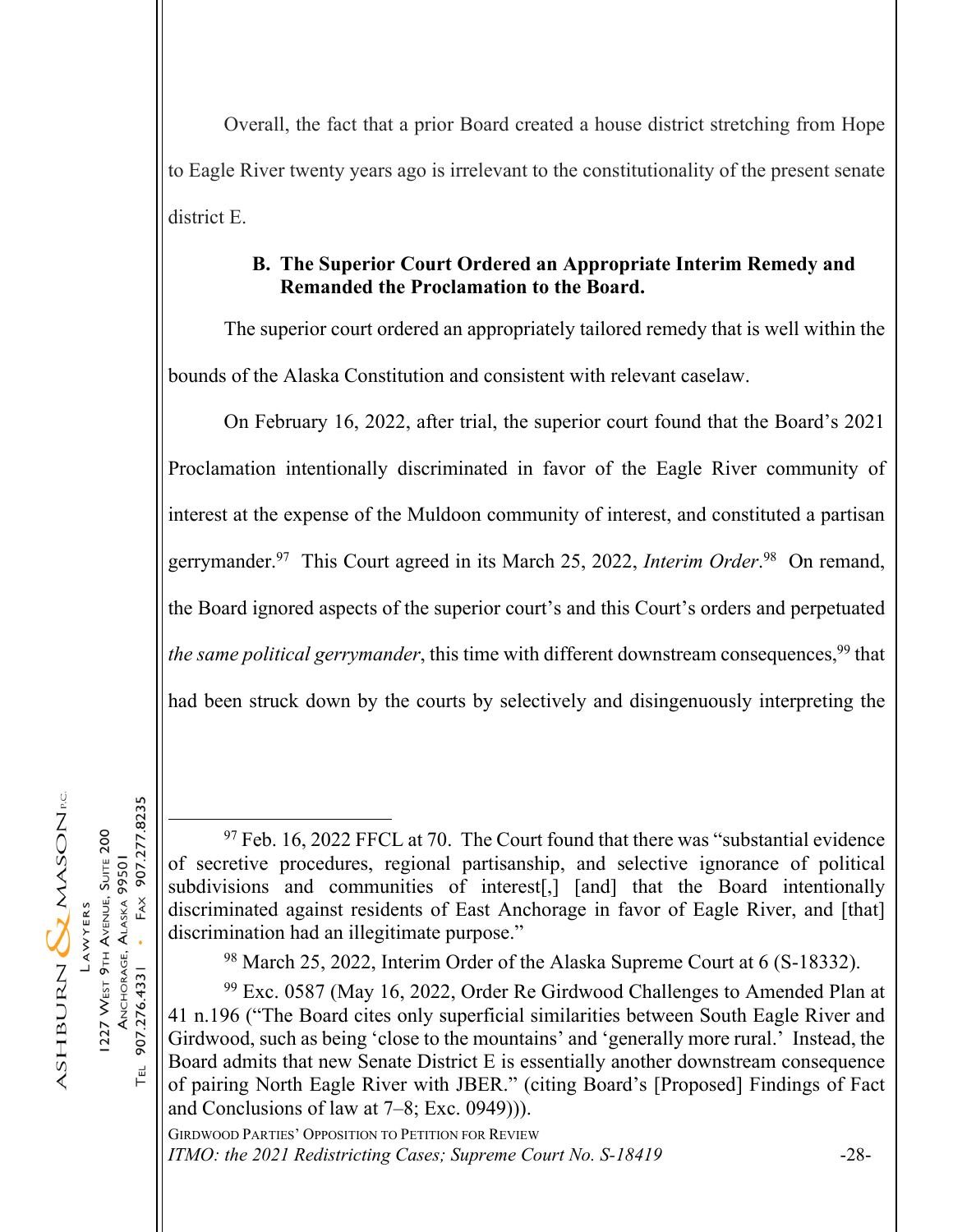Overall, the fact that a prior Board created a house district stretching from Hope to Eagle River twenty years ago is irrelevant to the constitutionality of the present senate district E.

# **B. The Superior Court Ordered an Appropriate Interim Remedy and Remanded the Proclamation to the Board.**

The superior court ordered an appropriately tailored remedy that is well within the bounds of the Alaska Constitution and consistent with relevant caselaw.

 On February 16, 2022, after trial, the superior court found that the Board's 2021 Proclamation intentionally discriminated in favor of the Eagle River community of interest at the expense of the Muldoon community of interest, and constituted a partisan gerrymander.<sup>97</sup> This Court agreed in its March 25, 2022, *Interim Order*.<sup>98</sup> On remand, the Board ignored aspects of the superior court's and this Court's orders and perpetuated *the same political gerrymander*, this time with different downstream consequences,<sup>99</sup> that had been struck down by the courts by selectively and disingenuously interpreting the

907.277.8235 1227 WEST 9TH AVENUE, SUITE 200 ANCHORAGE, ALASKA 99501  $FAX$ LAWYERS  $\ddot{\phantom{a}}$ 907.276.4331 ГEL

ASHBURN $\bigotimes_{MASON}$ re

99 Exc. 0587 (May 16, 2022, Order Re Girdwood Challenges to Amended Plan at 41 n.196 ("The Board cites only superficial similarities between South Eagle River and Girdwood, such as being 'close to the mountains' and 'generally more rural.' Instead, the Board admits that new Senate District E is essentially another downstream consequence of pairing North Eagle River with JBER." (citing Board's [Proposed] Findings of Fact and Conclusions of law at 7–8; Exc. 0949))).

GIRDWOOD PARTIES' OPPOSITION TO PETITION FOR REVIEW *ITMO: the 2021 Redistricting Cases; Supreme Court No. S-18419* -28-

 $97$  Feb. 16, 2022 FFCL at 70. The Court found that there was "substantial evidence of secretive procedures, regional partisanship, and selective ignorance of political subdivisions and communities of interest<sup>[1]</sup>, [and] that the Board intentionally discriminated against residents of East Anchorage in favor of Eagle River, and [that] discrimination had an illegitimate purpose."

<sup>98</sup> March 25, 2022, Interim Order of the Alaska Supreme Court at 6 (S-18332).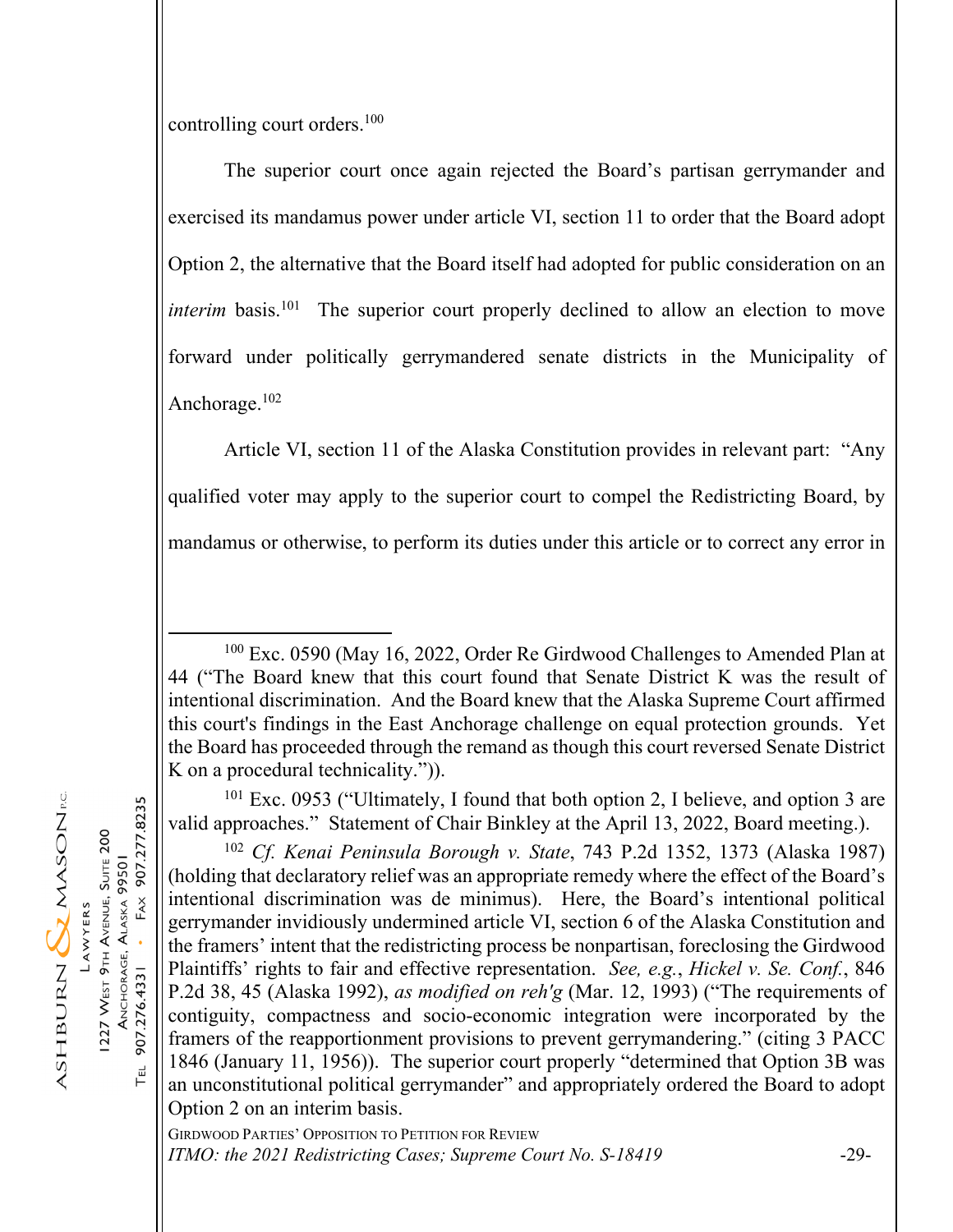controlling court orders.100

 The superior court once again rejected the Board's partisan gerrymander and exercised its mandamus power under article VI, section 11 to order that the Board adopt Option 2, the alternative that the Board itself had adopted for public consideration on an *interim* basis.<sup>101</sup> The superior court properly declined to allow an election to move forward under politically gerrymandered senate districts in the Municipality of Anchorage.102

 Article VI, section 11 of the Alaska Constitution provides in relevant part: "Any qualified voter may apply to the superior court to compel the Redistricting Board, by mandamus or otherwise, to perform its duties under this article or to correct any error in

 $101$  Exc. 0953 ("Ultimately, I found that both option 2, I believe, and option 3 are valid approaches." Statement of Chair Binkley at the April 13, 2022, Board meeting.).

<sup>102</sup> *Cf. Kenai Peninsula Borough v. State*, 743 P.2d 1352, 1373 (Alaska 1987) (holding that declaratory relief was an appropriate remedy where the effect of the Board's intentional discrimination was de minimus). Here, the Board's intentional political gerrymander invidiously undermined article VI, section 6 of the Alaska Constitution and the framers' intent that the redistricting process be nonpartisan, foreclosing the Girdwood Plaintiffs' rights to fair and effective representation. *See, e.g.*, *Hickel v. Se. Conf.*, 846 P.2d 38, 45 (Alaska 1992), *as modified on reh'g* (Mar. 12, 1993) ("The requirements of contiguity, compactness and socio-economic integration were incorporated by the framers of the reapportionment provisions to prevent gerrymandering." (citing 3 PACC 1846 (January 11, 1956)). The superior court properly "determined that Option 3B was an unconstitutional political gerrymander" and appropriately ordered the Board to adopt Option 2 on an interim basis.

GIRDWOOD PARTIES' OPPOSITION TO PETITION FOR REVIEW *ITMO: the 2021 Redistricting Cases; Supreme Court No. S-18419* -29-

ASHBURN & MASON

1227 WEST 9TH AVENUE, SUITE 200 ANCHORAGE, ALASKA 99501

LAWYERS

907.277.8235

 $FAX$ 

907.276.4331

ГEL

 $100$  Exc. 0590 (May 16, 2022, Order Re Girdwood Challenges to Amended Plan at 44 ("The Board knew that this court found that Senate District K was the result of intentional discrimination. And the Board knew that the Alaska Supreme Court affirmed this court's findings in the East Anchorage challenge on equal protection grounds. Yet the Board has proceeded through the remand as though this court reversed Senate District K on a procedural technicality.")).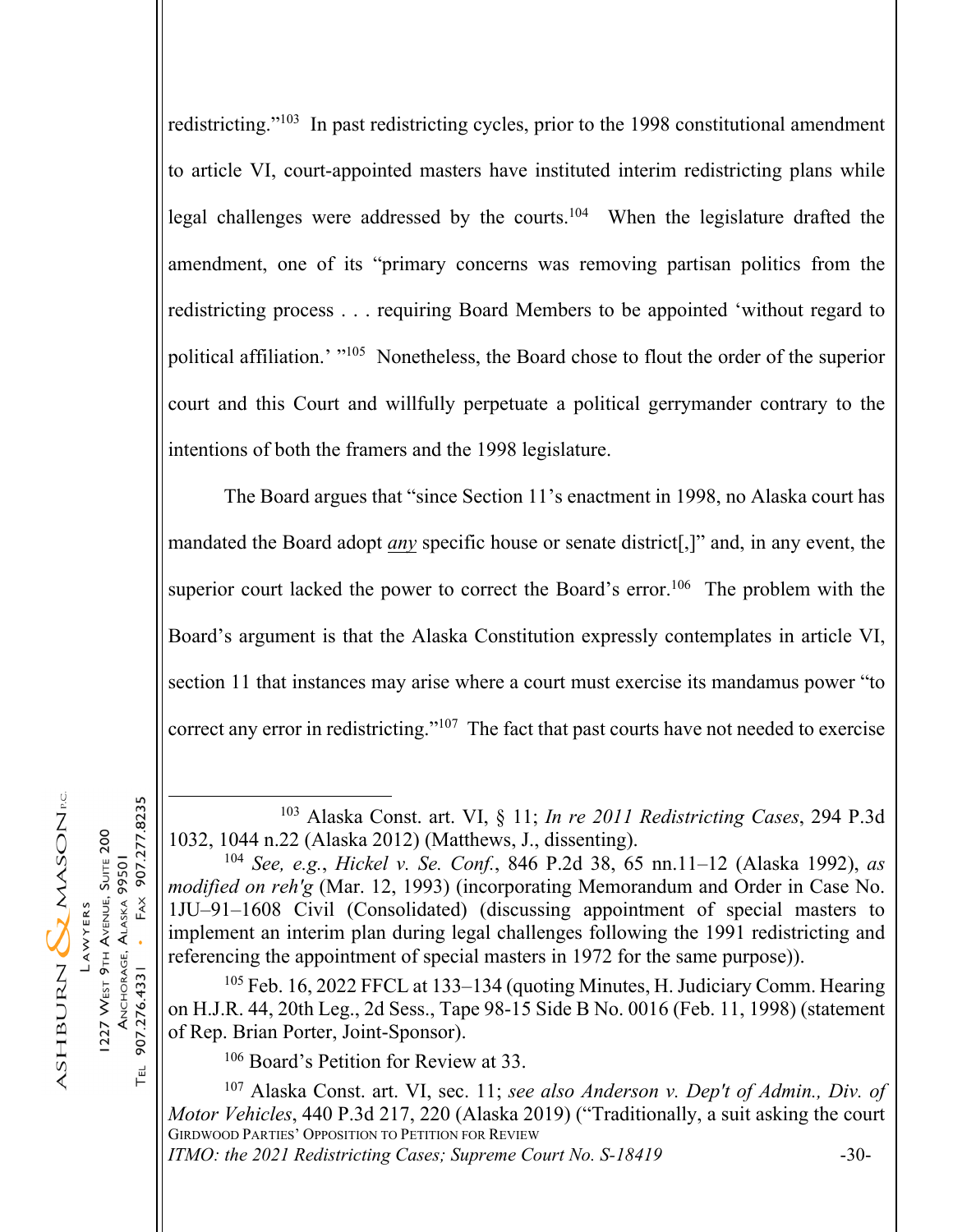redistricting."<sup>103</sup> In past redistricting cycles, prior to the 1998 constitutional amendment to article VI, court-appointed masters have instituted interim redistricting plans while legal challenges were addressed by the courts.104 When the legislature drafted the amendment, one of its "primary concerns was removing partisan politics from the redistricting process . . . requiring Board Members to be appointed 'without regard to political affiliation.' "105 Nonetheless, the Board chose to flout the order of the superior court and this Court and willfully perpetuate a political gerrymander contrary to the intentions of both the framers and the 1998 legislature.

 The Board argues that "since Section 11's enactment in 1998, no Alaska court has mandated the Board adopt *any* specific house or senate district[,]" and, in any event, the superior court lacked the power to correct the Board's error.<sup>106</sup> The problem with the Board's argument is that the Alaska Constitution expressly contemplates in article VI, section 11 that instances may arise where a court must exercise its mandamus power "to correct any error in redistricting."<sup>107</sup> The fact that past courts have not needed to exercise

103 Alaska Const. art. VI, § 11; *In re 2011 Redistricting Cases*, 294 P.3d 1032, 1044 n.22 (Alaska 2012) (Matthews, J., dissenting).

<sup>105</sup> Feb. 16, 2022 FFCL at 133–134 (quoting Minutes, H. Judiciary Comm. Hearing on H.J.R. 44, 20th Leg., 2d Sess., Tape 98-15 Side B No. 0016 (Feb. 11, 1998) (statement of Rep. Brian Porter, Joint-Sponsor).

<sup>106</sup> Board's Petition for Review at 33.

GIRDWOOD PARTIES' OPPOSITION TO PETITION FOR REVIEW *ITMO: the 2021 Redistricting Cases; Supreme Court No. S-18419* -30-107 Alaska Const. art. VI, sec. 11; *see also Anderson v. Dep't of Admin., Div. of Motor Vehicles*, 440 P.3d 217, 220 (Alaska 2019) ("Traditionally, a suit asking the court

ASHBURN & MASON 227 WEST 9TH AVENUE, SUITE 200 ANCHORAGE, ALASKA 99501 LAWYERS

907.277.8235

 $FAX$ 

 $\ddot{\phantom{a}}$ 

907.276.4331

 $\Gamma$ EL

<sup>104</sup> *See, e.g.*, *Hickel v. Se. Conf.*, 846 P.2d 38, 65 nn.11–12 (Alaska 1992), *as modified on reh'g* (Mar. 12, 1993) (incorporating Memorandum and Order in Case No. 1JU–91–1608 Civil (Consolidated) (discussing appointment of special masters to implement an interim plan during legal challenges following the 1991 redistricting and referencing the appointment of special masters in 1972 for the same purpose)).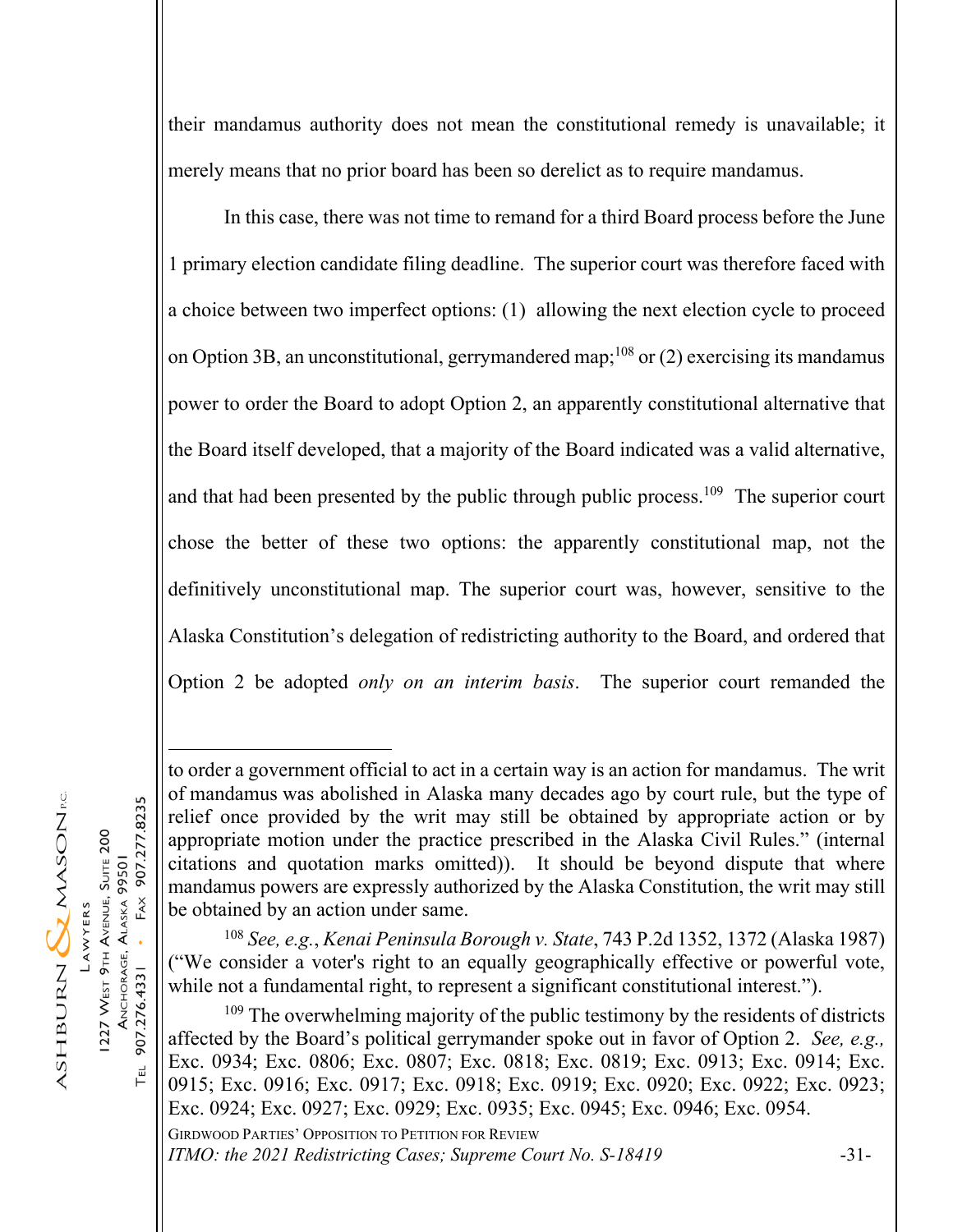their mandamus authority does not mean the constitutional remedy is unavailable; it merely means that no prior board has been so derelict as to require mandamus.

 In this case, there was not time to remand for a third Board process before the June 1 primary election candidate filing deadline. The superior court was therefore faced with a choice between two imperfect options: (1) allowing the next election cycle to proceed on Option 3B, an unconstitutional, gerrymandered map;<sup>108</sup> or (2) exercising its mandamus power to order the Board to adopt Option 2, an apparently constitutional alternative that the Board itself developed, that a majority of the Board indicated was a valid alternative, and that had been presented by the public through public process.<sup>109</sup> The superior court chose the better of these two options: the apparently constitutional map, not the definitively unconstitutional map. The superior court was, however, sensitive to the Alaska Constitution's delegation of redistricting authority to the Board, and ordered that Option 2 be adopted *only on an interim basis*. The superior court remanded the

<sup>108</sup> *See, e.g.*, *Kenai Peninsula Borough v. State*, 743 P.2d 1352, 1372 (Alaska 1987) ("We consider a voter's right to an equally geographically effective or powerful vote, while not a fundamental right, to represent a significant constitutional interest.").

GIRDWOOD PARTIES' OPPOSITION TO PETITION FOR REVIEW <sup>109</sup> The overwhelming majority of the public testimony by the residents of districts affected by the Board's political gerrymander spoke out in favor of Option 2. *See, e.g.,* Exc. 0934; Exc. 0806; Exc. 0807; Exc. 0818; Exc. 0819; Exc. 0913; Exc. 0914; Exc. 0915; Exc. 0916; Exc. 0917; Exc. 0918; Exc. 0919; Exc. 0920; Exc. 0922; Exc. 0923; Exc. 0924; Exc. 0927; Exc. 0929; Exc. 0935; Exc. 0945; Exc. 0946; Exc. 0954.

*ITMO: the 2021 Redistricting Cases; Supreme Court No. S-18419* -31-

907.277.8235

 $FAX$ 

 $\ddot{\phantom{0}}$ 

907.276.4331

to order a government official to act in a certain way is an action for mandamus. The writ of mandamus was abolished in Alaska many decades ago by court rule, but the type of relief once provided by the writ may still be obtained by appropriate action or by appropriate motion under the practice prescribed in the Alaska Civil Rules." (internal citations and quotation marks omitted)). It should be beyond dispute that where mandamus powers are expressly authorized by the Alaska Constitution, the writ may still be obtained by an action under same.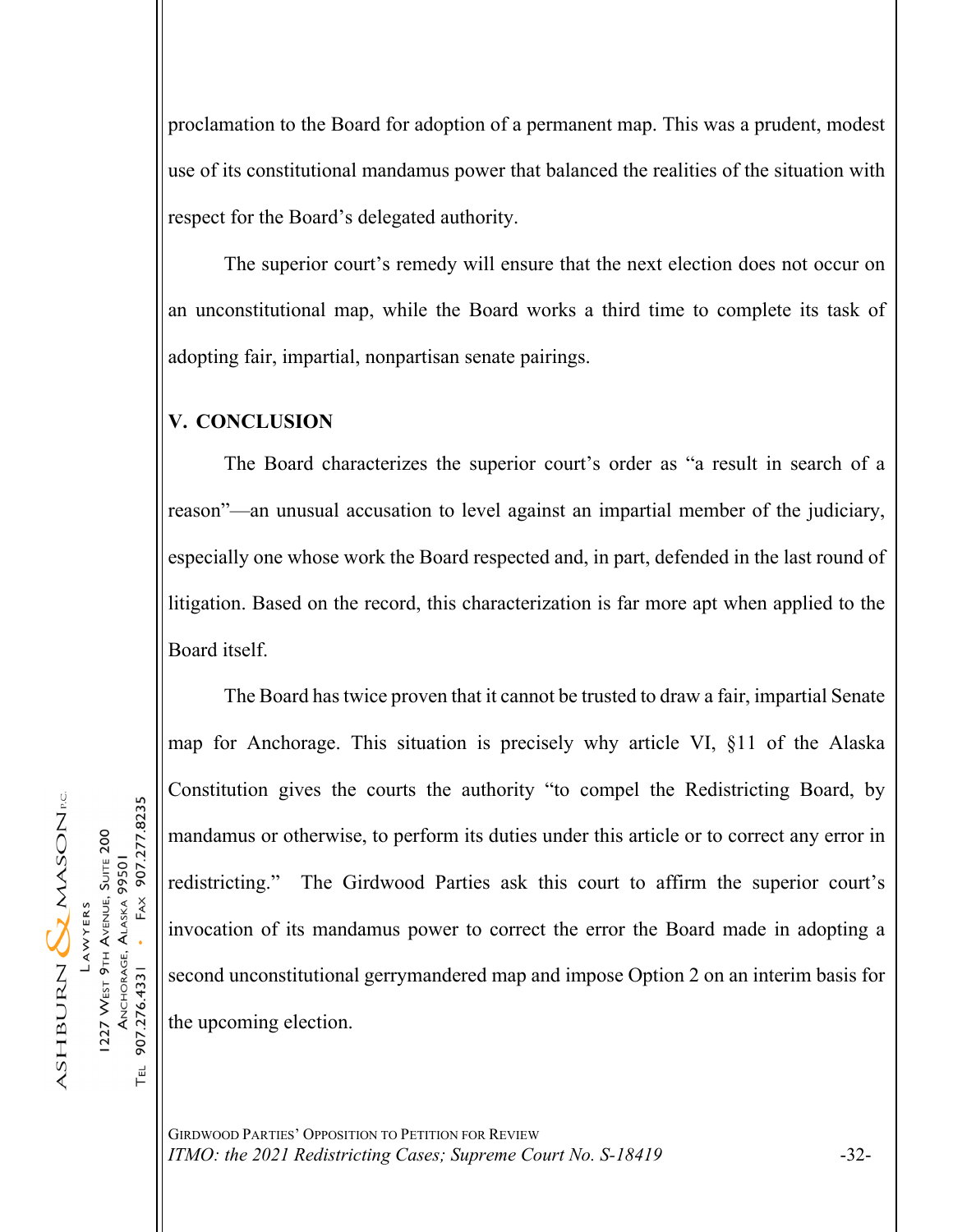proclamation to the Board for adoption of a permanent map. This was a prudent, modest use of its constitutional mandamus power that balanced the realities of the situation with respect for the Board's delegated authority.

 The superior court's remedy will ensure that the next election does not occur on an unconstitutional map, while the Board works a third time to complete its task of adopting fair, impartial, nonpartisan senate pairings.

# **V. CONCLUSION**

The Board characterizes the superior court's order as "a result in search of a reason"—an unusual accusation to level against an impartial member of the judiciary, especially one whose work the Board respected and, in part, defended in the last round of litigation. Based on the record, this characterization is far more apt when applied to the Board itself.

The Board has twice proven that it cannot be trusted to draw a fair, impartial Senate map for Anchorage. This situation is precisely why article VI, §11 of the Alaska Constitution gives the courts the authority "to compel the Redistricting Board, by mandamus or otherwise, to perform its duties under this article or to correct any error in redistricting." The Girdwood Parties ask this court to affirm the superior court's invocation of its mandamus power to correct the error the Board made in adopting a second unconstitutional gerrymandered map and impose Option 2 on an interim basis for the upcoming election.

GIRDWOOD PARTIES' OPPOSITION TO PETITION FOR REVIEW *ITMO: the 2021 Redistricting Cases; Supreme Court No. S-18419* -32-

907.277.8235

 $FAX$ 

 $\ddot{\phantom{a}}$ 

907.276.4331

 $\Gamma$ EL